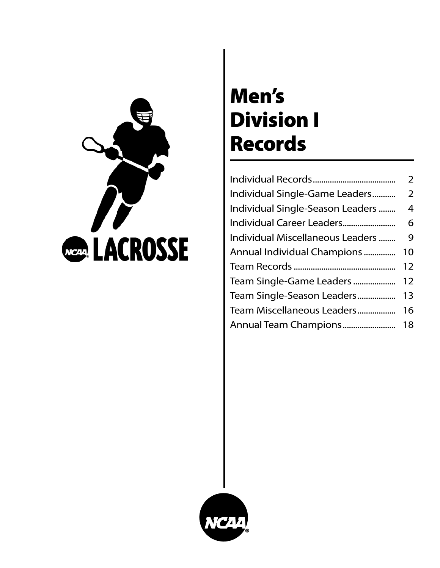

# Men's Division I Records

|                                  | $\overline{2}$ |
|----------------------------------|----------------|
| Individual Single-Game Leaders   | 2              |
| Individual Single-Season Leaders | 4              |
|                                  | 6              |
| Individual Miscellaneous Leaders | 9              |
| Annual Individual Champions      | 10             |
|                                  | 12             |
| Team Single-Game Leaders         | 12             |
| Team Single-Season Leaders       | 13             |
| Team Miscellaneous Leaders       | 16             |
|                                  |                |

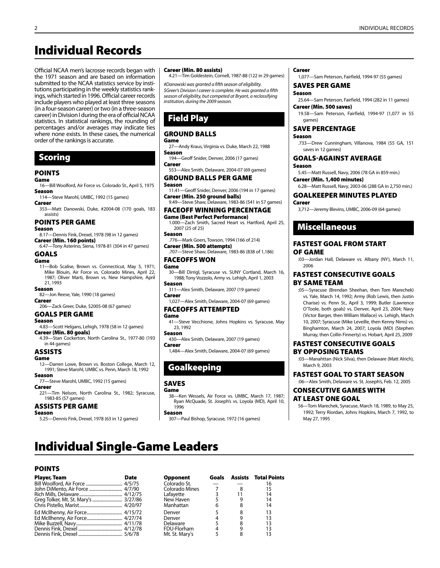# Individual Records

Official NCAA men's lacrosse records began with the 1971 season and are based on information submitted to the NCAA statistics service by institutions participating in the weekly statistics rankings, which started in 1996. Official career records include players who played at least three seasons (in a four-season career) or two (in a three-season career) in Division I during the era of official NCAA statistics. In statistical rankings, the rounding of percentages and/or averages may indicate ties where none exists. In these cases, the numerical order of the rankings is accurate.

# Scoring

#### POINTS

#### Game

- 16—Bill Woolford, Air Force vs. Colorado St., April 5, 1975 Season
- 114—Steve Marohl, UMBC, 1992 (15 games) Career
- 353—Matt Danowski, Duke, #2004-08 (170 goals, 183 assists)

#### POINTS PER GAME

#### Season

- 8.17—Dennis Fink, Drexel, 1978 (98 in 12 games) Career (Min. 160 points)
- 6.47—Tony Asterino, Siena, 1978-81 (304 in 47 games) GOALS

#### Game

11—Bob Scalise, Brown vs. Connecticut, May 5, 1971; Mike Blouin, Air Force vs. Colorado Mines, April 22, 1987; Oliver Marti, Brown vs. New Hampshire, April 21, 1993

#### Season

82—Jon Reese, Yale, 1990 (18 games)

#### Career 206—Zack Greer, Duke, \$2005-08 (67 games)

GOALS PER GAME

#### Season

- 4.83—Scott Helgans, Lehigh, 1978 (58 in 12 games)
- Career (Min. 80 goals) 4.39—Stan Cockerton, North Carolina St., 1977-80 (193
- in 44 games)

### ASSISTS

#### Game

12—Darren Lowe, Brown vs. Boston College, March 12, 1991; Steve Marohl, UMBC vs. Penn, March 18, 1992

#### Season 77—Steve Marohl, UMBC, 1992 (15 games)

#### **Career**

221—Tim Nelson, North Carolina St., 1982; Syracuse, 1983-85 (57 games)

#### ASSISTS PER GAME

- Season
- 5.25—Dennis Fink, Drexel, 1978 (63 in 12 games)

#### Career (Min. 80 assists)

4.21—Tim Goldestein, Cornell, 1987-88 (122 in 29 games)

*#Danowski was granted a fifth season of eligibility. \$Greer's Division I career is complete. He was granted a fifth season of eligibility, but competed at Bryant, a reclassifying institution, during the 2009 season.*

# Field Play

### GROUND BALLS

### Game

27—Andy Kraus, Virginia vs. Duke, March 22, 1988 Season

- 194—Geoff Snider, Denver, 2006 (17 games) Career
- 553—Alex Smith, Delaware, 2004-07 (69 games)

#### GROUND BALLS PER GAME Season

11.41—Geoff Snider, Denver, 2006 (194 in 17 games) Career (Min. 250 ground balls) 9.49—Steve Shaw, Delaware, 1983-86 (541 in 57 games)

# FACEOFF Winning PERCENTAGE

Game (Best Perfect Performance) 1.000—Zach Smith, Sacred Heart vs. Hartford, April 25, 2007 (25 of 25)

Season .776—Mark Goers, Towson, 1994 (166 of 214)

Career (Min. 500 attempts) .707—Steve Shaw, Delaware, 1983-86 (838 of 1,186)

#### FACEOFFS WON Game

30—Bill Dirrigl, Syracuse vs. SUNY Cortland, March 16, 1988; Tony Vozzolo, Army vs. Lehigh, April 1, 2003 Season

311—Alex Smith, Delaware, 2007 (19 games) Career

1,027—Alex Smith, Delaware, 2004-07 (69 games)

#### FACEOFFS ATTEMPTed Game

41—Steve Vecchione, Johns Hopkins vs. Syracuse, May 23, 1992

### Season

430—Alex Smith, Delaware, 2007 (19 games) Career

1,484—Alex Smith, Delaware, 2004-07 (69 games)

# Goalkeeping

#### SAVES

#### Game

38—Ken Wessels, Air Force vs. UMBC, March 17, 1987; Ryan McQuade, St. Joseph's vs. Loyola (MD), April 10, 1996

```
Season
```
307—Paul Bishop, Syracuse, 1972 (16 games)

#### Career

1,077—Sam Peterson, Fairfield, 1994-97 (55 games)

# SAVES PER GAME

Season 25.64—Sam Peterson, Fairfield, 1994 (282 in 11 games) Career (Min. 500 saves)

19.58—Sam Peterson, Fairfield, 1994-97 (1,077 in 55 games)

# SAve Percentage

Season

.733—Drew Cunningham, Villanova, 1984 (55 GA, 151 saves in 12 games)

# GOALS-AGAINST AVERAGE

Season

5.45—Matt Russell, Navy, 2006 (78 GA in 859 min.) Career (Min. 1,400 minutes)

6.28—Matt Russell, Navy, 2003-06 (288 GA in 2,750 min.)

#### GOALKEEPER MINUTES PLAYED Career

3,712—Jeremy Blevins, UMBC, 2006-09 (64 games)

# Miscellaneous

#### FASTEST GOAL FROM START OF GAME

:03—Jordan Hall, Delaware vs. Albany (NY), March 11, 2006

#### FASTEST CONSECUTIVE GOALS BY SAME TEAM

:05—Syracuse (Brendan Sheehan, then Tom Marechek) vs. Yale, March 14, 1992; Army (Rob Lewis, then Justin Charise) vs. Penn St., April 3, 1999; Butler (Lawrence O'Toole, both goals) vs. Denver, April 23, 2004; Navy (Victor Barger, then William Wallace) vs. Lehigh, March 10, 2007; Syracuse (Mike Leveille, then Kenny Nims) vs. Binghamton, March 24, 2007; Loyola (MD) (Stephen Murray, then Collin Finnerty) vs. Hobart, April 25, 2009

#### FASTEST CONSECUTIVE GOALS BY OPPOSING TEAMS

:03—Manahttan (Nick Silva), then Delaware (Matt Alrich), March 9, 2003

### FASTEST GOAL To STart SEason

:06—Alex Smith, Delaware vs. St. Joseph's, Feb. 12, 2005

#### CONSECUTIVE GAMES WITH AT LEAST ONE GOAL

56—Tom Marechek, Syracuse, March 18, 1989, to May 25, 1992; Terry Riordan, Johns Hopkins, March 7, 1992, to May 27, 1995

# Individual Single-Game Leaders

#### POINTS

| <b>Player, Team</b> | <b>Date</b> |
|---------------------|-------------|
|                     |             |
|                     |             |
|                     |             |
|                     |             |
|                     |             |
|                     |             |
|                     |             |
|                     |             |
|                     |             |
|                     |             |

| <b>Date</b>                          | Opponent                        |   |                                   |
|--------------------------------------|---------------------------------|---|-----------------------------------|
|                                      | Colorado St.                    |   |                                   |
|                                      | Colorado Mines                  |   |                                   |
|                                      | Lafavette                       |   | 14                                |
| Greg Tolker, Mt. St. Mary's  3/27/86 | New Haven                       |   | 14                                |
|                                      | Manhattan                       |   | 14                                |
|                                      | Denver                          |   | 13                                |
| Ed McIlhenny, Air Force 4/27/74      | Denver                          |   | 13                                |
|                                      | Delaware                        |   | 13                                |
|                                      | FDU-Florham                     | 4 | 13                                |
|                                      | Mt. St. Mary's                  |   |                                   |
|                                      | Ed McIlhenny, Air Force 4/15/72 |   | <b>Goals</b> Assists Total Points |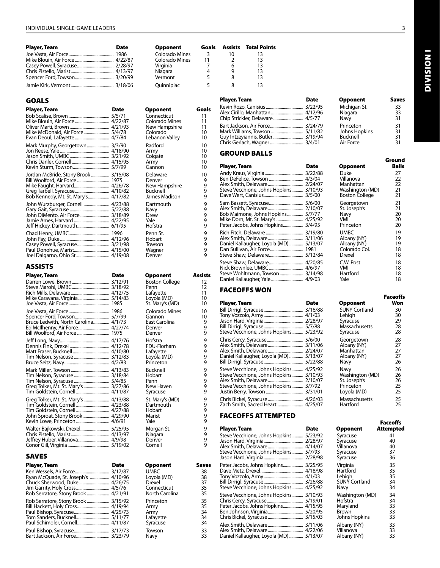| Player, Team | Date | Opponent              | Goals | Assists | <b>Total P</b> |
|--------------|------|-----------------------|-------|---------|----------------|
|              |      | <b>Colorado Mines</b> | 3     |         | 13             |
|              |      | Colorado Mines        | 11    |         | 13             |
|              |      | Virginia              |       | 6       | 13             |
|              |      | Niagara               | 4     | q       | 13             |
|              |      | Vermont               | 5     |         | 13             |
|              |      | Quinnipiac            | 5     |         | 13             |

# GOALS

| Player, Team                         | Date | Opponent                  | Goals    |
|--------------------------------------|------|---------------------------|----------|
|                                      |      | Connecticut               | 11       |
|                                      |      | Colorado Mines            | 11<br>11 |
| Mike McDonald, Air Force 5/4/78      |      | New Hampshire<br>Colorado | 10       |
|                                      |      | Lebanon Valley            | 10       |
| Mark Murphy, Georgetown 3/3/90       |      | Radford                   | 10       |
|                                      |      | Army                      | 10       |
|                                      |      | Colgate<br>Army           | 10<br>10 |
|                                      |      | Gannon                    | 10       |
| Jordan McBride, Stony Brook  3/15/08 |      | Delaware                  | 10       |
|                                      |      | Denver                    | 9        |
|                                      |      | New Hampshire<br>Bucknell | 9<br>9   |
| Bob Kennedy, Mt. St. Mary's 4/17/82  |      | James Madison             | 9        |
| John Wurzburger, Cornell  4/23/88    |      | Dartmouth                 | 9        |
|                                      |      | Navy                      | 9        |
|                                      |      | Drew                      | 9        |
| Jeff Hickey, Dartmouth 6/1/95        |      | Yale<br>Hofstra           | 9<br>9   |
|                                      |      | Penn St.                  | 9        |
|                                      |      | Hobart                    | 9        |
|                                      |      | Towson                    | 9        |
|                                      |      | Wagner                    | 9        |
|                                      |      | Denver                    | 9        |

# ASSISTS

| <b>Player, Team</b>                  | Date | <b>Opponent</b>       | <b>Assists</b> |
|--------------------------------------|------|-----------------------|----------------|
|                                      |      | <b>Boston College</b> | 12             |
|                                      |      | Penn                  | 12             |
|                                      |      | Lafayette             | 11             |
|                                      |      | Loyola (MD)           | 10             |
|                                      |      | St. Mary's (MD)       | 10             |
|                                      |      | Colorado Mines        | 10             |
|                                      |      | Gannon                | 10             |
| Bruce Ledwith, North Carolina 4/1/73 |      | East Carolina         | 9              |
|                                      |      | Denver                | 9              |
|                                      |      | Denver                | 9              |
|                                      |      | Hofstra               | 9              |
|                                      |      | FDU-Florham           | 9              |
|                                      |      | Lafayette             | 9              |
|                                      |      | Loyola (MD)           | 9              |
|                                      |      | Princeton             | 9              |
|                                      |      | Bucknell              | 9              |
|                                      |      | Hobart                | 9              |
|                                      |      | Penn                  | 9              |
| Greg Tolker, Mt. St. Mary's  3/27/86 |      | New Haven             | 9              |
|                                      |      | Syracuse              | 9              |
| Greg Tolker, Mt. St. Mary's  4/13/88 |      | St. Mary's (MD)       | 9              |
|                                      |      | Dartmouth             | 9              |
| Tim Goldstein, Cornell  4/27/88      |      | Hobart                | 9              |
|                                      |      | Marist                | 9              |
|                                      |      | Yale                  | 9              |
| Walter Bajkowski, Drexel 5/25/95     |      | Morgan St.            | 9              |
|                                      |      | Niagara               | 9              |
|                                      |      | Denver                | 9              |
|                                      |      | Cornell               | 9              |

#### SAVES

| <b>Player, Team</b> | <b>Date</b> | <b>Opponent</b>                                                              | Saves                      |
|---------------------|-------------|------------------------------------------------------------------------------|----------------------------|
|                     |             | <b>UMBC</b><br>Loyola (MD)<br><b>Drexel</b><br>Connecticut<br>North Carolina | 38<br>38<br>37<br>35<br>35 |
|                     |             | Princeton                                                                    | 35                         |
|                     |             | Army                                                                         | 35                         |
|                     |             | Army                                                                         | 34                         |
|                     |             | Lafayette                                                                    | 34                         |
|                     |             | Syracuse                                                                     | 34                         |
|                     |             | Towson                                                                       | 33                         |
|                     |             | Navy                                                                         | 33                         |

| Opponent<br>Connecticut<br>Colorado Mines<br>New Hampshire<br>Colorado<br>Lebanon Valley |  | G. |
|------------------------------------------------------------------------------------------|--|----|
| Radford<br>Army<br>Colgate<br>Army<br>Gannon                                             |  |    |
| Delaware<br>Denver<br>New Hampshire<br>Bucknell<br>James Madison                         |  |    |
| Dartmouth<br>Navy<br>Drew<br>Yale<br>Hofstra                                             |  |    |
| Penn St.<br>Hobart<br>Towson<br>Wagner<br>Denver                                         |  |    |
|                                                                                          |  |    |

| opponent                                                      | мэ |
|---------------------------------------------------------------|----|
| Boston College                                                |    |
| Penn                                                          |    |
| Lafayette<br>Loyola (MD)                                      |    |
| St. Mary's (MD)                                               |    |
| Colorado Mines<br>Gannon<br>East Carolina<br>Denver<br>Denver |    |
| Hofstra                                                       |    |
| FDU-Florham                                                   |    |
| Lafayette<br>Loyola (MD)                                      |    |
| Princeton                                                     |    |
| Bucknell                                                      |    |
| Hobart                                                        |    |
| Penn                                                          |    |
| New Haven<br>Syracuse                                         |    |
| St. Mary's (MD)                                               |    |
| Dartmouth                                                     |    |
| Hobart                                                        |    |
| Marist                                                        |    |
| Yale                                                          |    |
| Morgan St.                                                    |    |
| Niagara<br>Denver                                             |    |
| Cornell                                                       |    |
|                                                               |    |
|                                                               |    |
| Opponent                                                      | s  |
| <b>UMBC</b><br>Loyola (MD)                                    |    |
| Drexel                                                        |    |
| Connecticut                                                   |    |

| Player, Team                      | Date                 | <b>Opponent</b> | Saves |
|-----------------------------------|----------------------|-----------------|-------|
|                                   |                      | Michigan St.    | 33    |
|                                   |                      | Niagara         | 33    |
| Chip Strickler, Delaware 4/5/77   |                      | Navy            | 31    |
| Bart Jackson, Air Force 3/24/79   |                      | Princeton       | 31    |
|                                   |                      | Johns Hopkins   | 31    |
| Guy Intzeyiannis, Butler  3/19/94 |                      | Bucknell        | 31    |
|                                   | $\sim$ $\sim$ $\sim$ |                 |       |

#### GROUND BALLS

**Goals Assists Total Points**<br>  $\begin{array}{ccc}\n3 & 10 & 13 \\
11 & 2 & 13\n\end{array}$ 

| Player, Team                            | Date | Opponent                     | Balls    |
|-----------------------------------------|------|------------------------------|----------|
|                                         |      | Duke<br>Villanova            | 27<br>22 |
| Steve Vecchione, Johns Hopkins 3/10/93  |      | Manhattan<br>Washington (MD) | 22<br>21 |
|                                         |      | <b>Boston College</b>        | 21       |
|                                         |      | Georgetown<br>St. Joseph's   | 21<br>21 |
| Bob Maimone, Johns Hopkins 5/7/77       |      | Navy<br>VMI                  | 20<br>20 |
| Peter Jacobs, Johns Hopkins 3/4/95      |      | Princeton                    | 20       |
|                                         |      | <b>UMBC</b><br>Albany (NY)   | 19<br>19 |
| Daniel Kallaugher, Loyola (MD)  5/13/07 |      | Albany (NY)                  | 19       |
|                                         |      | Colorado Col.                | 18       |
|                                         |      | Drexel                       | 18       |
| Nick Brownlee, UMBC 4/6/97              |      | C.W. Post<br>VMI             | 18<br>18 |
|                                         |      | Hartford                     | 18       |
|                                         |      | Yale                         | 18       |

#### FACEOFFS WON

| Player, Team                            | Date    | <b>Opponent</b>      | Won |
|-----------------------------------------|---------|----------------------|-----|
|                                         |         | <b>SUNY Cortland</b> | 30  |
|                                         |         | Lehigh               | 30  |
|                                         |         | Syracuse             | 29  |
|                                         |         | Massachusetts        | 28  |
| Steve Vecchione, Johns Hopkins          | 5/23/92 | Syracuse             | 28  |
|                                         |         | Georgetown           | 28  |
|                                         |         | Albany (NY)          | 27  |
|                                         |         | Manhattan            | 27  |
| Daniel Kallaugher, Loyola (MD)  5/13/07 |         | Albany (NY)          | 27  |
|                                         |         | Navy                 | 26  |
| Steve Vecchione, Johns Hopkins 4/25/92  |         | Navv                 | 26  |
| Steve Vecchione, Johns Hopkins 3/10/93  |         | Washington (MD)      | 26  |
|                                         |         | St. Joseph's         | 26  |
| Steve Vecchione, Johns Hopkins 3/7/92   |         | Princeton            | 25  |
|                                         |         | Loyola (MD)          | 25  |
|                                         |         | Massachusetts        | 25  |
| Zach Smith, Sacred Heart 4/25/07        |         | Hartford             | 25  |

### FACEOFFS ATTEMPTED

| Player, Team                            | Date | <b>Opponent</b>       | <b>Attempted</b> |
|-----------------------------------------|------|-----------------------|------------------|
| Steve Vecchione, Johns Hopkins 5/23/92  |      | Syracuse              | 41               |
|                                         |      | Syracuse              | 40               |
| Steve Vecchione, Johns Hopkins 5/7/93   |      | Villanova<br>Syracuse | 40<br>37         |
|                                         |      | Syracuse              | 36               |
| Peter Jacobs, Johns Hopkins 3/25/95     |      | Virginia              | 35               |
|                                         |      | Hartford              | 35               |
|                                         |      | Lehiah                | 35               |
|                                         |      | <b>SUNY Cortland</b>  | 34               |
| Steve Vecchione, Johns Hopkins 4/25/92  |      | Navy                  | 34               |
| Steve Vecchione, Johns Hopkins 3/10/93  |      | Washington (MD)       | 34               |
|                                         |      | Hofstra               | 34               |
|                                         |      | Maryland              | 33               |
|                                         |      | Brown                 | 33               |
|                                         |      | Johns Hopkins         | 33               |
|                                         |      | Albany (NY)           | 33               |
|                                         |      | Villanova             | 33               |
| Daniel Kallaugher, Loyola (MD)  5/13/07 |      | Albany (NY)           | 33               |

| <b>Player, Team</b> | <b>Date</b> | <b>Opponent</b> | Save |
|---------------------|-------------|-----------------|------|
|                     |             | Michigan St.    | 33   |
|                     |             | Niagara         | 33   |
|                     |             | Navv            | 31   |
|                     |             | Princeton       | 31   |
|                     |             | Johns Hopkins   | 31   |
|                     |             | Bucknell        | 31   |
|                     |             | Air Force       | 31   |

| Ground   |
|----------|
| Balls    |
| 27       |
| 22       |
| 22<br>21 |
| 21       |
| 21       |
| 21       |
| 20<br>20 |
| 20       |
| 19       |
| 19       |
| 19       |
| 18       |
| 18       |
| 18       |
| 18       |
| 18<br>18 |
|          |

|                      | <b>Faceoffs</b> |
|----------------------|-----------------|
| Opponent             | Won             |
| <b>SUNY Cortland</b> | 30              |
| Lehigh               | 30              |
| Syracuse             | 29              |
| Massachusetts        | 28              |
| Syracuse             | 28              |
| Georgetown           | 28              |
| Albany (NY)          | 27              |
| Manhattan            | 27              |
| Albany (NY)          | 27              |
| Navy                 | 26              |
| Navy                 | 26              |
| Washington (MD)      | 26              |
| St. Joseph's         | 26              |
| Princeton            | 25              |
| Loyola (MD)          | 25              |
| Massachusetts        | 25              |
| Hartford             | 25              |

| Opponent             | Faceoffs<br><b>Attempted</b> |
|----------------------|------------------------------|
| Syracuse             | 41                           |
| Syracuse             | 40                           |
| Villanova            | 40                           |
| Syracuse             | 37                           |
| Syracuse             | 36                           |
| Virginia             | 35                           |
| Hartford             | 35                           |
| Lehigh               | 35                           |
| <b>SUNY Cortland</b> | 34                           |
| Navy                 | 34                           |
| Washington (MD)      | 34                           |
| Hofstra              | 34                           |
| Maryland             | 33                           |
| Brown                | 33                           |
| Johns Hopkins        | 33                           |
| Albany (NY)          | 33                           |
| Villanóva            | 33                           |
| Albany (NY)          | 33                           |

**INOISINI** Division I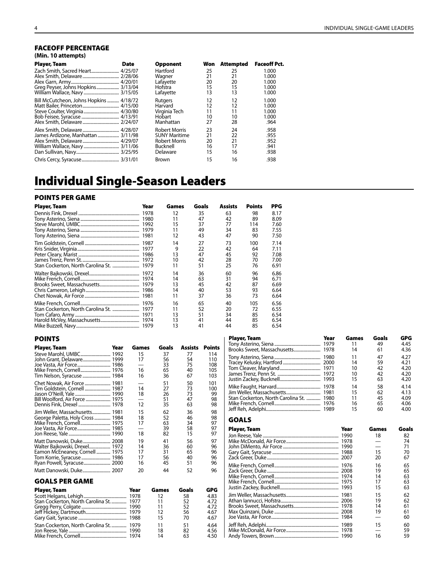#### FACEOFF PERCENTAGE **(Min. 10 attempts)**

| Player, Team                            | Date | <b>Opponent</b>      | Won | Attempted | <b>Faceoff Pct.</b> |
|-----------------------------------------|------|----------------------|-----|-----------|---------------------|
|                                         |      | Hartford             | 25  | 25        | 1.000               |
|                                         |      | Wagner               | 21  | 21        | 1.000               |
|                                         |      | Lafayette            | 20  | 20        | 1.000               |
| Greg Peyser, Johns Hopkins 3/13/04      |      | Hofstra              | 15  | 15        | 1.000               |
|                                         |      | Lafayette            | 13  | 13        | 1.000               |
| Bill McCutcheon, Johns Hopkins  4/18/72 |      | Rutgers              | 12  | 12        | 1.000               |
|                                         |      | Harvard              | 12  | 12        | 1.000               |
|                                         |      | Virginia Tech        | 11  | 11        | 1.000               |
|                                         |      | Hobart               | 10  | 10        | 1.000               |
|                                         |      | Manhattan            | 27  | 28        | .964                |
|                                         |      | <b>Robert Morris</b> | 23  | 24        | .958                |
| James Ardizone, Manhattan  3/11/98      |      | <b>SUNY Maritime</b> | 21  | 22        | .955                |
|                                         |      | <b>Robert Morris</b> | 20  | 21        | .952                |
|                                         |      | Bucknell             | 16  | 17        | .941                |
|                                         |      | Delaware             | 15  | 16        | .938                |
|                                         |      | Brown                | 15  | 16        | .938                |

# Individual Single-Season Leaders

### POINTS PER GAME

| Player, Team | Year | Games | Goals | <b>Assists</b> | <b>Points</b> | PPG  |
|--------------|------|-------|-------|----------------|---------------|------|
|              | 1978 | 12    | 35    | 63             | 98            | 8.17 |
|              |      | 11    | 47    | 42             | 89            | 8.09 |
|              | 1992 | 15    | 37    | 77             | 114           | 7.60 |
|              | 1979 | 11    | 49    | 34             | 83            | 7.55 |
|              | 1981 | 12    | 43    | 47             | 90            | 7.50 |
|              | 1987 | 14    | 27    | 73             | 100           | 7.14 |
|              | 1977 | 9     | 22    | 42             | 64            | 7.11 |
|              |      | 13    | 47    | 45             | 92            | 7.08 |
|              |      | 10    | 42    | 28             | 70            | 7.00 |
|              | 1979 | 11    | 51    | 25             | 76            | 6.91 |
|              |      | 14    | 36    | 60             | 96            | 6.86 |
|              |      | 14    | 63    | 31             | 94            | 6.71 |
|              | 1979 | 13    | 45    | 42             | 87            | 6.69 |
|              | 1986 | 14    | 40    | 53             | 93            | 6.64 |
|              | 1981 | 11    | 37    | 36             | 73            | 6.64 |
|              | 1976 | 16    | 65    | 40             | 105           | 6.56 |
|              | 1977 | 11    | 52    | 20             | 72            | 6.55 |
|              | 1971 | 13    | 51    | 34             | 85            | 6.54 |
|              |      | 13    | 41    | 44             | 85            | 6.54 |
|              |      | 13    | 41    | 44             | 85            | 6.54 |

#### POINTS

| Player, Team                     | Year | Games | Goals    | Assists  | Points     |
|----------------------------------|------|-------|----------|----------|------------|
| Steve Marohl, UMBC 1992          |      | 15    | 37       | 77       | 114        |
|                                  |      | 17    | 56       | 54       | 110        |
|                                  |      | 16    | 33<br>65 | 75<br>40 | 108<br>105 |
|                                  |      | 16    | 36       | 67       | 103        |
|                                  |      |       | 51       | 50       | 101        |
| Tim Goldstein, Cornell  1987     |      | 14    | 27       | 73       | 100        |
|                                  |      | 18    | 26       | 73       | 99         |
| Bill Woolford, Air Force  1975   |      | 12    | 51       | 47       | 98         |
|                                  |      |       | 35       | 63       | 98         |
| Jim Weller, Massachusetts 1981   |      | 15    | 62       | 36       | 98         |
| George Paletta, Holy Cross  1984 |      | 18    | 52       | 46       | 98<br>97   |
|                                  |      | 17    | 63<br>39 | 34<br>58 | 97         |
|                                  |      | 18    | 82       | 15       | 97         |
| Matt Danowski, Duke 2008         |      | 19    | 41       | 56       | 97         |
| Walter Bajkowski, Drexel 1972    |      | 14    | 36       | 60       | 96         |
| Eamon McEneaney, Cornell  1975   |      | 17    | 31       | 65       | 96         |
|                                  |      | 17    | 56       | 40       | 96         |
| Ryan Powell, Syracuse 2000       |      | 16    | 45       | 51       | 96         |
|                                  |      | 20    | 44       | 52       | 96         |
| <b>GOALS PER GAME</b>            |      |       |          |          |            |

# Player, Team Year Games Goals GPG Scott Helgans, Lehigh........................................ 1978 12 58 4.83 Stan Cockerton, North Carolina St. .............. 1977 11 52 4.72 Gregg Perry, Colgate .......................................... 1990 11 52 4.72 Jeff Hickey, Dartmouth...................................... 1979 12 56 4.67 Gary Gait, Syracuse ............................................. 1988 15 70 4.67 Stan Cockerton, North Carolina St. .............. 1979 11 51 4.64 Jon Reese, Yale ...................................................... 1990 18 82 4.56 Mike French, Cornell........................................... 1974 14 63 4.50

| Player, Team                       | Year<br>1980<br>1972 | <b>Games</b><br>11<br>14<br>11<br>14<br>10<br>10<br>15 | Goals<br>49<br>61<br>47<br>59<br>42<br>42<br>63 | GPG<br>4.45<br>4.36<br>4.27<br>4.21<br>4.20<br>4.20<br>4.20 |
|------------------------------------|----------------------|--------------------------------------------------------|-------------------------------------------------|-------------------------------------------------------------|
|                                    | 1980                 | 14                                                     | 58                                              | 4.14                                                        |
|                                    |                      | 15                                                     | 62                                              | 4.13                                                        |
| Stan Cockerton, North Carolina St. |                      | 11                                                     | 45                                              | 4.09                                                        |
|                                    |                      | 16                                                     | 65                                              | 4.06                                                        |
|                                    |                      | 15                                                     | 60                                              | 4.00                                                        |

# GOALS

| <b>Player, Team</b> | Year | Games | Goals |
|---------------------|------|-------|-------|
|                     |      | 18    | 82    |
|                     |      |       | 74    |
|                     |      |       | 71    |
|                     |      | 15    | 70    |
|                     |      | 20    | 67    |
|                     |      | 16    | 65    |
|                     |      | 19    | 65    |
|                     |      | 14    | 63    |
|                     |      | 17    | 63    |
|                     |      | 15    | 63    |
|                     |      | 15    | 62    |
|                     |      | 19    | 62    |
|                     |      | 14    | 61    |
|                     |      | 19    | 61    |
|                     |      |       | 60    |
|                     |      | 15    | 60    |
|                     |      |       | 59    |
|                     |      | 16    | 59    |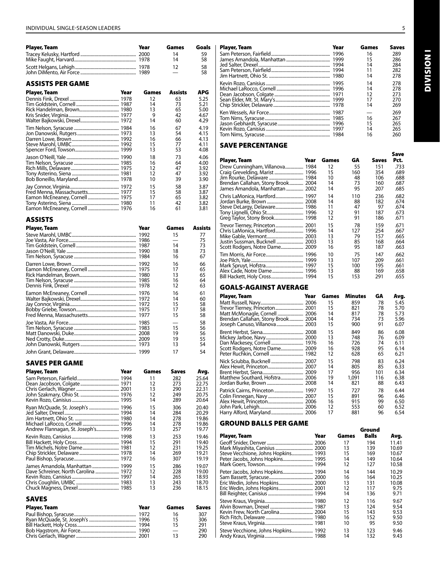| <b>Player, Team</b> | Year | Games | Goals |
|---------------------|------|-------|-------|
|                     |      | 14    | 59    |
|                     |      | 14    | 58    |
|                     |      | 12    | 58    |
|                     |      |       | 58    |

#### ASSISTS PER GAME

| Player, Team | Year | Games | Assists | APG  |
|--------------|------|-------|---------|------|
|              |      | 12    | 63      | 5.25 |
|              |      | 14    | 73      | 5.21 |
|              |      | 13    | 65      | 5.00 |
|              |      | 9     | 42      | 4.67 |
|              |      | 14    | 60      | 4.29 |
|              |      | 16    | 67      | 4.19 |
|              |      | 13    | 54      | 4.15 |
|              |      | 16    | 66      | 4.13 |
|              |      | 15    | 77      | 4.11 |
|              |      | 13    | 53      | 4.08 |
|              |      | 18    | 73      | 4.06 |
|              |      | 16    | 64      | 4.00 |
|              |      | 12    | 47      | 3.92 |
|              |      | 12    | 47      | 3.92 |
|              |      | 10    | 39      | 3.90 |
|              |      | 15    | 58      | 3.87 |
|              |      | 15    | 58      | 3.87 |
|              |      | 17    | 65      | 3.82 |
|              |      | 11    | 42      | 3.82 |
|              |      | 16    | 61      | 3.81 |

#### ASSISTS

| Player, Team | Year | Games | Assists |
|--------------|------|-------|---------|
|              |      | 15    | 77      |
|              |      |       | 75      |
|              |      | 14    | 73      |
|              |      | 18    | 73      |
|              |      | 16    | 67      |
|              |      | 16    | 66      |
|              |      | 17    | 65      |
|              |      | 13    | 65      |
|              |      | 16    | 64      |
|              |      | 12    | 63      |
|              |      | 16    | 61      |
|              |      | 14    | 60      |
|              |      | 15    | 58      |
|              |      | 17    | 58      |
|              |      | 15    | 58      |
|              |      |       | 58      |
|              |      | 15    | 56      |
|              |      | 19    | 56      |
|              |      | 19    | 55      |
|              |      | 13    | 54      |
|              |      | 17    | 54      |

#### SAVES PER GAME

| Player, Team                         | Year | Games | Saves | Avg.  |
|--------------------------------------|------|-------|-------|-------|
|                                      |      | 11    | 282   | 25.64 |
|                                      |      | 12    | 273   | 22.75 |
|                                      |      | 13    | 290   | 22.31 |
|                                      |      | 12    | 249   | 20.75 |
|                                      |      | 14    | 289   | 20.64 |
| Ryan McQuade, St. Joseph's  1996     |      | 15    | 306   | 20.40 |
|                                      |      | 14    | 284   | 20.29 |
|                                      |      | 14    | 278   | 19.86 |
|                                      |      | 14    | 278   | 19.86 |
|                                      |      | 13    | 257   | 19.77 |
|                                      |      | 13    | 253   | 19.46 |
|                                      |      | 15    | 291   | 19.40 |
|                                      |      | 12    | 231   | 19.25 |
|                                      |      | 14    | 269   | 19.21 |
|                                      |      | 16    | 307   | 19.19 |
| James Amandola, Manhattan  1999      |      | 15    | 286   | 19.07 |
| Dave Schreiner, North Carolina  1972 |      | 12    | 228   | 19.00 |
|                                      |      | 14    | 265   | 18.93 |
|                                      |      | 13    | 243   | 18.70 |
|                                      |      | 13    | 236   | 18.15 |

#### SAVES

| <b>Player, Team</b> | Year | Games | <b>Saves</b> |
|---------------------|------|-------|--------------|
|                     |      | 16    | 307          |
|                     |      | 15    | 306          |
|                     |      | 15    | 291          |
|                     |      |       | 290          |
|                     |      | 13    | 290          |

| Player, Team     |      | Year  | Games   | Goals      | Player, Team | Year | Games | Saves |
|------------------|------|-------|---------|------------|--------------|------|-------|-------|
|                  |      |       | 14      | 59         |              |      | 16    | 289   |
|                  |      |       | 14      | 58         |              |      |       | 286   |
|                  |      |       | 12      | 58         |              |      | 14    | 284   |
|                  |      |       |         | 58         |              |      |       | 282   |
|                  |      |       |         |            |              |      | 14    | 278   |
| ASSISTS PER GAME |      |       |         |            |              |      | 14    | 278   |
|                  |      |       |         |            |              |      | 14    | 278   |
| Player, Team     | Year | Games | Assists | <b>APG</b> |              |      |       | 273   |
|                  |      | 12    | 63      | 5.25       |              |      |       | 270   |
|                  |      |       | 73      | 5.21       |              |      | 14    | 269   |
|                  |      |       | 65      | 5.00       |              |      |       |       |
|                  |      |       | 42      | 4.67       |              |      |       | 269   |
|                  |      | 14    | 60      | 4.29       |              |      | 16    | 267   |
|                  |      |       |         |            |              |      |       | 265   |
|                  |      | 16    | 67      | 4.19       |              |      |       | 265   |
|                  |      |       | 54      | 4.15       |              |      |       | 260   |
|                  |      |       |         |            |              |      |       |       |

#### Save percentange

| Player, Team                                                                                             | Year | Games                               | GA                                                | <b>Saves</b>                     | Save<br>Pct.                                 |
|----------------------------------------------------------------------------------------------------------|------|-------------------------------------|---------------------------------------------------|----------------------------------|----------------------------------------------|
| Drew Cunningham, Villanova 1984<br>Brendan Callahan, Stony Brook 2004<br>James Amandola, Manhattan  2002 |      | 12<br>15<br>10<br>14<br>14          | 55<br>160<br>48<br>73<br>95                       | 151<br>354<br>106<br>160<br>207  | .733<br>.689<br>.688<br>.687<br>.685         |
|                                                                                                          |      | 14<br>14<br>11<br>12<br>12          | 110<br>88<br>47<br>91<br>91                       | 236<br>182<br>97<br>187<br>186   | .682<br>.674<br>.674<br>.673<br>.671         |
| Justin Sussman, Bucknell  2003                                                                           |      | 15<br>14<br>13<br>13<br>16          | 78<br>127<br>79<br>85<br>95                       | 159<br>254<br>157<br>168<br>187  | .671<br>.667<br>.665<br>.664<br>.663         |
|                                                                                                          |      | 10<br>13<br>15<br>13<br>15          | 75<br>107<br>100<br>88<br>153                     | 147<br>209<br>195<br>169<br>291  | .662<br>.661<br>.661<br>.658<br>.655         |
| <b>GOALS-AGAINST AVERAGE</b>                                                                             |      |                                     |                                                   |                                  |                                              |
| Player, Team<br>Trevor Tierney, Princeton 2001<br>Brendan Callahan, Stony Brook 2004                     | Year | Games<br>15<br>15<br>14<br>14<br>15 | <b>Minutes</b><br>859<br>821<br>817<br>734<br>900 | GA<br>78<br>78<br>78<br>73<br>91 | Avg.<br>5.45<br>5.70<br>5.73<br>5.96<br>6.07 |
| Scott Rodgers, Notre Dame 2009                                                                           |      | 15<br>13<br>16<br>16<br>12          | 849<br>748<br>726<br>928<br>628                   | 86<br>76<br>74<br>95<br>65       | 6.08<br>6.09<br>6.11<br>6.14<br>6.21         |
|                                                                                                          |      | 15<br>14                            | 798<br>805                                        | 83<br>85                         | 6.24<br>6.33                                 |

# Alex Hewit, Princeton................................. 2007 14 805 85 6.33 Brent Herbst, Siena...................................... 2009 17 956 101 6.34 Matthew Southard, Hofstra..................... 2006 19 1,091 116 6.38 Jordan Burke, Brown.................................. 2008 14 821 88 6.43 Patrick Cairns, Princeton........................... 1997 15 727 78 6.44 Colin Finnegan, Navy................................. 2007 15 891 96 6.46 Alex Hewit, Princeton................................. 2006 16 915 99 6.50 John Park, Lehigh......................................... 2006 12 553 60 6.52 Harry Alford, Maryland.............................. 2006 17 881 96 6.54

### GROUND BALLS PER GAME

|                                     |      |       | Ground       |       |
|-------------------------------------|------|-------|--------------|-------|
| Player, Team                        | Year | Games | <b>Balls</b> | Avg.  |
|                                     |      | 17    | 194          | 11.41 |
|                                     |      | 13    | 139          | 10.69 |
| Steve Vecchione, Johns Hopkins 1993 |      | 15    | 169          | 10.67 |
|                                     |      | 14    | 149          | 10.64 |
|                                     |      | 12    | 127          | 10.58 |
| Peter Jacobs, Johns Hopkins 1994    |      | 14    | 144          | 10.29 |
|                                     |      | 16    | 164          | 10.25 |
|                                     |      | 13    | 131          | 10.08 |
|                                     |      | 12    | 117          | 9.75  |
|                                     |      | 14    | 136          | 9.71  |
|                                     |      | 12    | 116          | 9.67  |
|                                     |      | 13    | 124          | 9.54  |
|                                     |      | 15    | 143          | 9.53  |
|                                     |      | 16    | 152          | 9.50  |
|                                     |      | 10    | 95           | 9.50  |
| Steve Vecchione, Johns Hopkins 1992 |      | 13    | 123          | 9.46  |
|                                     |      | 14    | 132          | 9.43  |

**INOISINI** Division I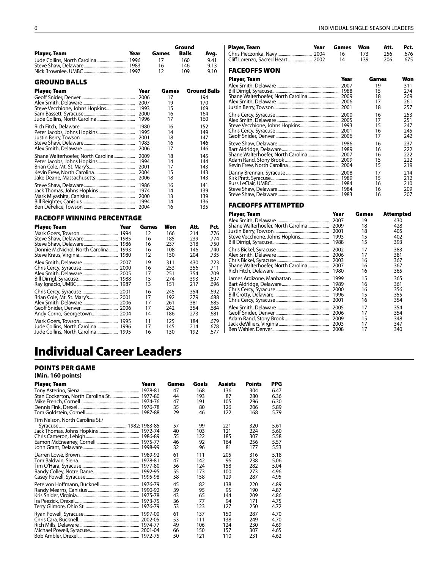|                                       |              |            | Ground       |                     |
|---------------------------------------|--------------|------------|--------------|---------------------|
| Player, Team                          | Year         | Games      | <b>Balls</b> | Avg.                |
|                                       |              | 17         | 160          | 9.41                |
|                                       |              | 16         | 146          | 9.13                |
|                                       |              | 12         | 109          | 9.10                |
| <b>GROUND BALLS</b>                   |              |            |              |                     |
| Player, Team                          | Year         | Games      |              | <b>Ground Balls</b> |
|                                       | 2006         | 17         |              | 194                 |
|                                       | 2007         | 19         |              | 170                 |
|                                       | 1993         | 15         |              | 169                 |
|                                       | 2000<br>1996 | 16<br>17   |              | 164<br>160          |
|                                       |              |            |              |                     |
|                                       | 1980         | 16         |              | 152                 |
|                                       | 1995<br>2001 | 14<br>18   |              | 149<br>147          |
|                                       | 1983         | 16         |              | 146                 |
|                                       |              | 17         |              | 146                 |
| Shane Walterhoefer, North Carolina    | 2009         | 18         |              | 145                 |
|                                       | 1994         | 14         |              | 144                 |
|                                       | 2001         | 17         |              | 143                 |
|                                       | 2004         | 15         |              | 143                 |
|                                       | 2006         | 18         |              | 143                 |
|                                       |              | 16         |              | 141                 |
|                                       | 1974         | 14         |              | 139                 |
|                                       |              | 13         |              | 139                 |
|                                       | 1994         | 14<br>16   |              | 136<br>135          |
|                                       |              |            |              |                     |
| <b>FACEOFF WINNING PERCENTAGE</b>     |              |            |              |                     |
| Year<br>Player, Team                  | Games        | Won        | Att.         | Pct.                |
|                                       | 12           | 166        | 214          | .776                |
|                                       | 16           | 185        | 239          | .774                |
| Donnie McNichol, North Carolina  1993 | 16<br>16     | 237<br>108 | 318<br>146   | .750<br>.740        |
|                                       | 12           | 150        | 204          | .735                |
|                                       | 19           | 311        | 430          | .723                |
|                                       | 16           | 253        | 356          | .711                |
|                                       | 17           | 251        | 354          | .709                |
|                                       | 15           | 274        | 393          | .697                |
|                                       | 13           | 151        | 217          | .696                |
|                                       | 16           | 245        | 354          | .692                |
|                                       | 17           | 192        | 279          | .688                |
|                                       | 17           | 261        | 381          | .685                |
|                                       | 17<br>14     | 242        | 354          | .684                |
|                                       |              | 186        | 273          | .681                |
|                                       | 11<br>17     | 125<br>145 | 184<br>214   | .679<br>.678        |
| Jude Collins, North Carolina 1995     | 16           | 130        | 192          | .677                |

| Player, Team        | Year | Games    | Won        | Att.       | Pct.         |
|---------------------|------|----------|------------|------------|--------------|
|                     |      | 16<br>14 | 173<br>139 | 256<br>206 | .676<br>.675 |
| <b>FACEOFFS WON</b> |      |          |            |            |              |
| Player, Team        |      | Year     |            | Games      | Won          |
|                     |      | 2007     |            | 19         | 311          |
|                     |      |          |            | 15         | 274          |
|                     |      |          |            | 18         | 269          |
|                     |      |          |            | 17         | 261          |
|                     |      | 2001     |            | 18         | 257          |
|                     |      |          |            | 16         | 253          |
|                     |      |          |            | 17         | 251          |
|                     |      |          |            | 15         | 247          |
|                     |      |          |            | 16         | 245          |
|                     |      |          |            | 17         | 242          |
|                     |      | 1986     |            | 16         | 237          |
|                     |      |          |            | 16         | 222          |
|                     |      |          |            | 16         | 222          |
|                     |      |          |            | 15         | 222          |
|                     |      |          |            | 15         | 219          |
|                     |      |          |            | 17         | 214          |
|                     |      |          |            | 15         | 212          |
|                     |      |          |            | 16         | 210          |
|                     |      | 1984     |            | 16<br>16   | 209<br>207   |
|                     |      |          |            |            |              |

#### FACEOFFS ATTEMPTED

| Player, Team                       | Year | Games | Attempted |
|------------------------------------|------|-------|-----------|
|                                    | 2007 | 19    | 430       |
| Shane Walterhoefer, North Carolina | 2009 | 18    | 428       |
|                                    | 2001 | 18    | 405       |
|                                    | 1993 | 15    | 402       |
|                                    | 1988 | 15    | 393       |
|                                    | 2002 | 17    | 383       |
|                                    | 2006 | 17    | 381       |
|                                    | 2003 | 16    | 367       |
| Shane Walterhoefer, North Carolina | 2007 | 16    | 367       |
|                                    | 1980 | 16    | 365       |
|                                    | 1999 | 15    | 365       |
|                                    | 1989 | 16    | 361       |
|                                    | 2000 | 16    | 356       |
|                                    | 1996 | 15    | 355       |
|                                    | 2001 | 16    | 354       |
|                                    | 2005 | 17    | 354       |
|                                    | 2006 | 17    | 354       |
|                                    | 2009 | 15    | 348       |
|                                    | 2003 | 17    | 347       |
|                                    | 2008 | 17    | 340       |
|                                    |      |       |           |

# Individual Career Leaders

#### POINTS PER GAME

**(Min. 160 points)**

| Player, Team                    | Years | Games | Goals | Assists | <b>Points</b> | PPG  |
|---------------------------------|-------|-------|-------|---------|---------------|------|
|                                 |       | 47    | 168   | 136     | 304           | 6.47 |
|                                 |       | 44    | 193   | 87      | 280           | 6.36 |
|                                 |       | 47    | 191   | 105     | 296           | 6.30 |
|                                 |       | 35    | 80    | 126     | 206           | 5.89 |
|                                 |       | 29    | 46    | 122     | 168           | 5.79 |
| Tim Nelson, North Carolina St./ |       |       |       |         |               |      |
|                                 |       | 57    | 99    | 221     | 320           | 5.61 |
|                                 |       | 40    | 103   | 121     | 224           | 5.60 |
|                                 |       | 55    | 122   | 185     | 307           | 5.58 |
|                                 |       | 46    | 92    | 164     | 256           | 5.57 |
|                                 |       | 32    | 96    | 81      | 177           | 5.53 |
|                                 |       | 61    | 111   | 205     | 316           | 5.18 |
|                                 |       | 47    | 142   | 96      | 238           | 5.06 |
|                                 |       | 56    | 124   | 158     | 282           | 5.04 |
|                                 |       | 55    | 173   | 100     | 273           | 4.96 |
|                                 |       | 58    | 158   | 129     | 287           | 4.95 |
|                                 |       | 45    | 82    | 138     | 220           | 4.89 |
|                                 |       | 39    | 95    | 95      | 190           | 4.87 |
|                                 |       | 43    | 65    | 144     | 209           | 4.86 |
|                                 |       | 36    | 77    | 94      | 171           | 4.75 |
|                                 |       | 53    | 123   | 127     | 250           | 4.72 |
|                                 |       | 61    | 137   | 150     | 287           | 4.70 |
|                                 |       | 53    | 111   | 138     | 249           | 4.70 |
|                                 |       | 49    | 106   | 124     | 230           | 4.69 |
|                                 |       | 66    | 150   | 157     | 307           | 4.65 |
|                                 |       | 50    | 121   | 110     | 231           | 4.62 |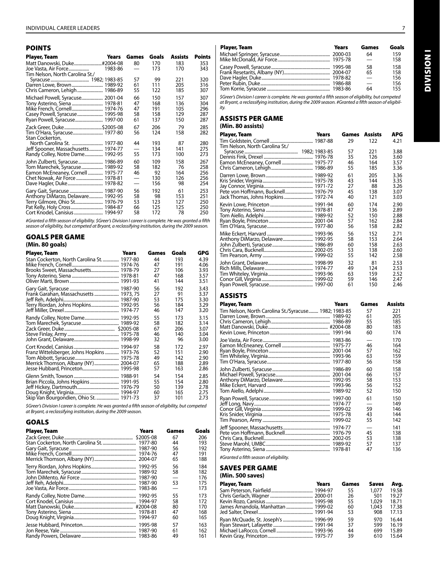### POINTS

| Player, Team<br>Years                                                                                                                                   | Games                      | Goals                           | <b>Assists</b>                  | <b>Points</b>                   |
|---------------------------------------------------------------------------------------------------------------------------------------------------------|----------------------------|---------------------------------|---------------------------------|---------------------------------|
| Joe Vasta, Air Force<br>1983-86                                                                                                                         | 80                         | 170<br>173                      | 183<br>170                      | 353<br>343                      |
| Tim Nelson, North Carolina St./                                                                                                                         | 57<br>61<br>55             | 99<br>111<br>122                | 221<br>205<br>185               | 320<br>316<br>307               |
| Michael Powell, Syracuse 2001-04<br>Tony Asterino, Siena  1978-81<br>Mike French, Cornell 1974-76<br>Casey Powell, Syracuse 1995-98                     | 66<br>47<br>47<br>58<br>61 | 150<br>168<br>191<br>158<br>137 | 157<br>136<br>105<br>129<br>150 | 307<br>304<br>296<br>287<br>287 |
| Zack Greer, Duke\$2005-08<br>Tim O'Hara, Syracuse 1977-80<br>Stan Cockerton,<br>Jeff Spooner, Massachusetts 1974-77<br>Randy Colley, Notre Dame 1992-95 | 67<br>56<br>44<br>55       | 206<br>124<br>193<br>134<br>173 | 79<br>158<br>87<br>141<br>100   | 285<br>282<br>280<br>275<br>273 |
| John Zulberti, Syracuse 1986-89<br>Tom Marechek, Syracuse 1989-92<br>Eamon McEneaney, Cornell  1975-77                                                  | 60<br>58<br>46             | 109<br>182<br>92<br>130<br>156  | 158<br>76<br>164<br>126<br>98   | 267<br>258<br>256<br>256<br>254 |
| Gary Gait, Syracuse  1987-90<br>Anthony DiMarzo, Delaware 1992-95<br>Terry Gilmore, Ohio St 1976-79                                                     | 56<br>58<br>53<br>66<br>58 | 192<br>98<br>123<br>125<br>172  | 61<br>153<br>127<br>125<br>78   | 253<br>251<br>250<br>250<br>250 |

*#Granted a fifth season of eligibility. \$Greer's Division I career is complete. He was granted a fifth season of eligibility, but competed at Bryant, a reclassifying institution, during the 2009 season.*

#### GOALS PER GAME

|  | (Min. 80 goals) |
|--|-----------------|
|  |                 |

| Player, Team                                | Years | Games | Goals | GPG  |
|---------------------------------------------|-------|-------|-------|------|
| Stan Cockerton, North Carolina St.  1977-80 |       | 44    | 193   | 4.39 |
|                                             |       | 47    | 191   | 4.06 |
| Brooks Sweet, Massachusetts 1978-79         |       | 27    | 106   | 3.93 |
|                                             |       | 47    | 168   | 3.57 |
|                                             |       | 41    | 144   | 3.51 |
|                                             |       | 56    | 192   | 3.43 |
|                                             |       | 27    | 91    | 3.37 |
|                                             |       | 53    | 175   | 3.30 |
| Terry Riordan, Johns Hopkins 1992-95        |       | 56    | 184   | 3.29 |
|                                             |       | 46    | 147   | 3.20 |
|                                             |       | 55    | 173   | 3.15 |
|                                             |       | 58    | 182   | 3.14 |
|                                             |       | 67    | 206   | 3.07 |
|                                             |       | 46    | 140   | 3.04 |
|                                             |       | 32    | 96    | 3.00 |
|                                             |       | 58    | 172   | 2.97 |
| Franz Wittelsberger, Johns Hopkins  1973-76 |       | 52    | 151   | 2.90 |
|                                             |       | 49    | 142   | 2.90 |
| Merrick Thomson, Albany (NY)  2004-07       |       | 65    | 188   | 2.89 |
|                                             |       | 57    | 163   | 2.86 |
|                                             |       | 54    | 154   | 2.85 |
|                                             |       | 55    | 154   | 2.80 |
|                                             |       | 50    | 139   | 2.78 |
|                                             |       | 60    | 165   | 2.75 |
|                                             |       | 37    | 101   | 2.73 |

*\$Greer's Division I career is complete. He was granted a fifth season of eligibility, but competed at Bryant, a reclassifying institution, during the 2009 season.*

### GOALS

| Player, Team | <b>Years</b> | Games | Goals |
|--------------|--------------|-------|-------|
|              |              | 67    | 206   |
|              |              | 44    | 193   |
|              |              | 56    | 192   |
|              |              | 47    | 191   |
|              |              | 65    | 188   |
|              |              | 56    | 184   |
|              |              | 58    | 182   |
|              |              |       | 176   |
|              |              | 53    | 175   |
|              |              |       | 173   |
|              |              | 55    | 173   |
|              |              | 58    | 172   |
|              |              | 80    | 170   |
|              |              | 47    | 168   |
|              |              | 60    | 165   |
|              |              | 57    | 163   |
|              |              | 61    | 162   |
|              |              | 49    | 161   |

| <b>Years</b> | Games                    | Goals |
|--------------|--------------------------|-------|
|              | 64                       | 159   |
|              | $\overline{\phantom{a}}$ | 158   |
|              | 58                       | 158   |
|              | 65                       | 158   |
|              | $\overline{\phantom{a}}$ | 156   |
|              |                          | 156   |
|              | 64                       | 155   |
|              |                          |       |

*\$Greer's Division I career is complete. He was granted a fifth season of eligibility, but competed at Bryant, a reclassifying institution, during the 2009 season. #Granted a fifth season of eligibility.*

#### ASSISTS PER GAME **(Min. 80 assists)**

| Player, Team                      | Years | Games | Assists | APG  |
|-----------------------------------|-------|-------|---------|------|
| Tim Nelson, North Carolina St./   |       | 29    | 122     | 4.21 |
|                                   |       | 57    | 221     | 3.88 |
|                                   |       | 35    | 126     | 3.60 |
| Eamon McEneaney, Cornell  1975-77 |       | 46    | 164     | 3.57 |
|                                   |       | 55    | 185     | 3.36 |
|                                   |       | 61    | 205     | 3.36 |
|                                   |       | 43    | 144     | 3.35 |
|                                   |       | 27    | 88      | 3.26 |
|                                   |       | 45    | 138     | 3.07 |
|                                   |       | 40    | 121     | 3.03 |
|                                   |       | 60    | 174     | 2.90 |
|                                   |       | 47    | 136     | 2.89 |
|                                   |       | 52    | 150     | 2.88 |
|                                   |       | 57    | 162     | 2.84 |
|                                   |       | 56    | 158     | 2.82 |
|                                   |       | 56    | 152     | 2.71 |
|                                   |       | 58    | 153     | 2.64 |
|                                   |       | 60    | 158     | 2.63 |
|                                   |       | 53    | 138     | 2.60 |
|                                   |       | 55    | 142     | 2.58 |
|                                   |       | 32    | 81      | 2.53 |
|                                   |       | 49    | 124     | 2.53 |
|                                   |       | 63    | 159     | 2.52 |
|                                   |       | 59    | 146     | 2.47 |
|                                   |       | 61    | 150     | 2.46 |

# ASSISTS

| <b>Player, Team</b>                                   | Years                         | Games                      | <b>Assists</b>                  |
|-------------------------------------------------------|-------------------------------|----------------------------|---------------------------------|
| Tim Nelson, North Carolina St./Syracuse 1982; 1983-85 |                               | 57<br>61<br>55<br>80<br>60 | 221<br>205<br>185<br>183<br>174 |
|                                                       | 1977-80                       | 46<br>57<br>63<br>56       | 170<br>164<br>162<br>159<br>158 |
|                                                       | 1986-89<br>1989-92            | 60<br>66<br>58<br>56<br>52 | 158<br>157<br>153<br>152<br>150 |
|                                                       | 1997-00<br>1974-77<br>1975-78 | 61<br>59<br>43<br>55       | 150<br>149<br>146<br>144<br>142 |
|                                                       | 2002-05                       | 45<br>53<br>57<br>47       | 141<br>138<br>138<br>137<br>136 |

*#Granted a fifth season of eligibility.*

# SAVES PER GAME

**(Min. 500 saves)**

| Player, Team                        | <b>Years</b> | Games | <b>Saves</b> | Avg.  |
|-------------------------------------|--------------|-------|--------------|-------|
|                                     |              | 55    | 1.077        | 19.58 |
|                                     |              | 26    | 501          | 19.27 |
|                                     |              | 55    | 1.029        | 18.71 |
|                                     |              | 60    | 1,043        | 17.38 |
|                                     |              | 53    | 908          | 17.13 |
| Ryan McQuade, St. Joseph's  1996-99 |              | 59    | 970          | 16.44 |
|                                     |              | 37    | 599          | 16.19 |
|                                     |              | 44    | 699          | 15.89 |
|                                     |              | 39    | 610          | 15.64 |

**INOISINI** Division I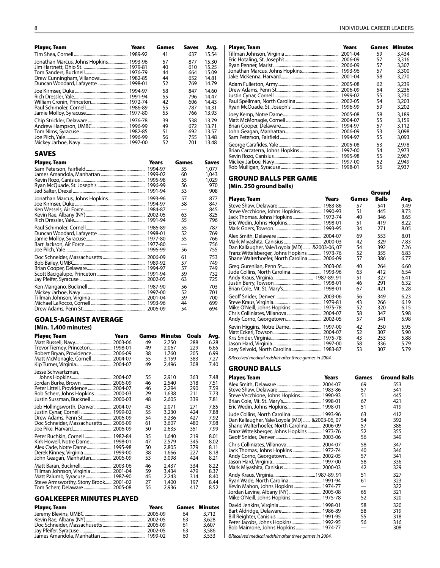| <b>Player, Team</b>                    | Years | Games    | Saves                    | Avg.           |
|----------------------------------------|-------|----------|--------------------------|----------------|
|                                        |       | 41       | 637                      | 15.54          |
| Jonathan Marcus, Johns Hopkins 1993-96 |       | 57       | 877                      | 15.30          |
|                                        |       | 40       | 610                      | 15.25          |
| Drew Cunningham, Villanova 1982-85     |       | 44<br>44 | 664<br>652               | 15.09<br>14.81 |
| Duncan Woodard, Lafayette  1998-01     |       | 52       | 769                      | 14.79          |
|                                        |       | 58       | 847                      | 14.60          |
|                                        |       | 55       | 796                      | 14.47          |
|                                        |       | 42<br>55 | 606<br>787               | 14.43<br>14.31 |
|                                        |       | 55       | 766                      | 13.93          |
|                                        |       | 39       | 538                      | 13.79          |
|                                        |       | 49       | 672                      | 13.71          |
|                                        |       | 51       | 692                      | 13.57          |
|                                        |       | 56<br>52 | 755<br>701               | 13.48<br>13.48 |
|                                        |       |          |                          |                |
| <b>SAVES</b>                           |       |          |                          |                |
| <b>Player, Team</b>                    |       | Years    | Games                    | Saves          |
|                                        |       | 1994-97  | 55                       | 1,077          |
|                                        |       |          | 60                       | 1,043          |
|                                        |       |          | 55<br>56                 | 1,029<br>970   |
|                                        |       |          | 53                       | 908            |
|                                        |       | 1993-96  | 57                       | 877            |
|                                        |       | 1994-97  | 58                       | 847            |
|                                        |       |          |                          | 845            |
|                                        |       |          | 63<br>55                 | 825<br>796     |
|                                        |       |          | 55                       | 787            |
|                                        |       | 1998-01  | 52                       | 769            |
|                                        |       |          | 55                       | 766            |
|                                        |       | 1977-80  | $\overline{\phantom{0}}$ | 756            |
|                                        |       |          | 56                       | 755            |
|                                        |       |          | 61<br>57                 | 753<br>749     |
|                                        |       |          | 57                       | 749            |
|                                        |       |          | 59                       | 732            |
|                                        |       |          | 63                       | 725            |
|                                        |       |          | 56                       | 703            |
|                                        |       |          | 52<br>59                 | 701<br>700     |
|                                        |       |          | 44                       | 699            |
|                                        |       |          | 54                       | 694            |

#### GOALS-AGAINST AVERAGE

#### **(Min. 1,400 minutes)** Player, Team Years Games Minutes Goals Avg. Matt Russell, Navy.................................. 2003-06 49 2,750 288 6.28 Trevor Tierney, Princeton.................... 1998-01 49 2,067 229 6.65 Robert Bryan, Providence .................. 2006-09 38 1,760 205 6.99 Matt McMonagle, Cornell .................. 2004-07 55 3,159 383 7.27 Kip Turner, Virginia.. Jesse Schwartzman, Johns Hopkins..................................... 2004-07 55 2,910 363 7.48 Jordan Burke, Brown............................ 2006-09 46 2,540 318 7.51 Peter Littell, Providence ...................... 2004-07 46 2,294 290 7.59 Rob Scherr, Johns Hopkins................ 2000-03 29 1,638 211 7.73 Justin Sussman, Bucknell. Jeb Hollingsworth, Denver................ 2004-07 43 2,071 271 7.85 Justin Cynar, Cornell ............................. 1999-02 55 3,230 424 7.88 Drew Adams, Penn St........................... 2006-09 54 3,236 427 7.92 Doc Schneider, Massachusetts........ 2006-09 61 3,607 480 7.98 Joe Pike, Harvard.................................... 2006-09 50 2,635 351 7.99 Peter Ruchkin, Cornell ........................... 1982-84 35 1,640 219 8.01<br>Kirk Howell, Notre Dame ................... 1998-01 47 2,579 345 8.02 Kirk Howell, Notre Dame.................... 1998-01 47 2,579 345 8.02 Alex Cade, Notre Dame....................... 1995-98 50 2,805 379 8.11 Derek Kinney, Virginia.......................... 1999-00 38 1,666 227 8.18 John Geagan, Manhattan.. Matt Baran, Bucknell............................. 2003-06 46 2,437 334 8.22 Tillman Johnson, Virginia ................... 2001-04 59 3,434 479 8.37 Matt Palumb, Syracuse ........................... 1987-90 45 2,243 314 8.40<br>Steve Armsworthy, Stony Brook...... 2001-02 27 1,400 197 8.44 Steve Armsworthy, Stony Brook...... 2001-02 27 1,400 197 8.44 Tom Scherr, Delaware.

#### GOALKEEPER MINUTES PLAYED

| Player, Team | Years |    | <b>Games</b> Minutes |
|--------------|-------|----|----------------------|
|              |       | 64 | 3.712                |
|              |       | 63 | 3.628                |
|              |       | 61 | 3,607                |
|              |       | 63 | 3,586                |
|              |       | 60 | 3,533                |

| Player, Team                                                                 | Years | Games                | Saves                    | Avg.                             | <b>Player, Team</b> | Years | Games                | <b>Minutes</b>                   |
|------------------------------------------------------------------------------|-------|----------------------|--------------------------|----------------------------------|---------------------|-------|----------------------|----------------------------------|
|                                                                              |       | 41                   | 637                      | 15.54                            |                     |       | 59                   | 3,434                            |
| Jonathan Marcus, Johns Hopkins 1993-96<br>Drew Cunningham, Villanova 1982-85 |       | 57<br>40<br>44<br>44 | 877<br>610<br>664<br>652 | 15.30<br>15.25<br>15.09<br>14.81 |                     |       | 57<br>57<br>57<br>58 | 3,316<br>3,307<br>3,300<br>3,270 |
| Duncan Woodard, Lafayette  1998-01                                           |       | 52                   | 769                      | 14.79                            |                     |       | 62                   | 3,239                            |
|                                                                              |       | 58<br>55<br>42<br>55 | 847<br>796<br>606<br>787 | 14.60<br>14.47<br>14.43<br>14.31 |                     |       | 54<br>55<br>54<br>59 | 3,236<br>3,230<br>3,203<br>3,202 |
|                                                                              |       | 55                   | 766                      | 13.93                            |                     |       | 58                   | 3,189                            |
|                                                                              |       | 39<br>49<br>51<br>56 | 538<br>672<br>692<br>755 | 13.79<br>13.71<br>13.57<br>13.48 |                     |       | 55<br>57<br>53<br>55 | 3,159<br>3,112<br>3,098<br>3,093 |
| SAVES                                                                        |       | 52                   | 701                      | 13.48                            |                     |       | 53<br>54<br>55       | 2,978<br>2,973<br>2,967          |
| Player, Team                                                                 |       | Years                | Games                    | Saves                            |                     |       | 52                   | 2,949                            |
|                                                                              |       | 1994-97              | 55                       | 1.077                            |                     |       | 56                   | 2,937                            |

#### GROUND BALLS PER GAME **(Min. 250 ground balls)**

|                                                                               |       |                      | Ground                   |                              |
|-------------------------------------------------------------------------------|-------|----------------------|--------------------------|------------------------------|
| Player, Team                                                                  | Years | Games                | <b>Balls</b>             | Avg.                         |
| Steve Vecchione, Johns Hopkins 1990-93<br>Jack Thomas, Johns Hopkins  1972-74 |       | 57<br>51<br>40<br>51 | 541<br>445<br>346<br>419 | 9.49<br>8.73<br>8.65<br>8.22 |
|                                                                               |       | 34                   | 271                      | 8.05                         |
|                                                                               |       | 69                   | 553                      | 8.01                         |
|                                                                               |       | 42                   | 329                      | 7.83                         |
| Dan Kallaugher, Yale/Loyola (MD)  & 2003-06, 07                               |       | 54                   | 392                      | 7.26                         |
| Franz Wittelsberger, Johns Hopkins  1973-76                                   |       | 52                   | 355                      | 6.83                         |
| Shane Walterhoefer, North Carolina 2006-09                                    |       | 57                   | 386                      | 6.77                         |
|                                                                               |       | 40                   | 264                      | 6.60                         |
| Jude Collins, North Carolina 1993-96                                          |       | 63                   | 412                      | 6.54                         |
|                                                                               |       | 51                   | 327                      | 6.41                         |
|                                                                               |       | 46                   | 291                      | 6.32                         |
|                                                                               |       | 67                   | 421                      | 6.28                         |
|                                                                               |       | 56                   | 349                      | 6.23                         |
|                                                                               |       | 43                   | 266                      | 6.19                         |
| Mike O'Neill, Johns Hopkins 1975-78                                           |       | 52                   | 320                      | 6.15                         |
|                                                                               |       | 58                   | 347                      | 5.98                         |
|                                                                               |       | 57                   | 341                      | 5.98                         |
| Kevin Higgins, Notre Dame 1997-00                                             |       | 42                   | 250                      | 5.95                         |
|                                                                               |       | 52                   | 307                      | 5.90                         |
|                                                                               |       | 43                   | 253                      | 5.88                         |
|                                                                               |       | 58                   | 336                      | 5.79                         |
| Joey Seivold, North Carolina 1983-87                                          |       | 53                   | 307                      | 5.79                         |

*&Received medical redshirt after three games in 2004.*

#### GROUND BALLS

| <b>Player, Team</b>                            | Years | Games | <b>Ground Balls</b> |
|------------------------------------------------|-------|-------|---------------------|
|                                                |       | 69    | 553                 |
|                                                |       | 57    | 541                 |
| Steve Vecchione, Johns Hopkins 1990-93         |       | 51    | 445                 |
|                                                |       | 67    | 421                 |
| Eric Wedin, Johns Hopkins 1998-01              |       | 51    | 419                 |
| Jude Collins, North Carolina 1993-96           |       | 63    | 412                 |
| Dan Kallaugher, Yale/Loyola (MD)  &2003-06, 07 |       | 54    | 392                 |
| Shane Walterhoefer, North Carolina 2006-09     |       | 57    | 386                 |
| Franz Wittelsberger, Johns Hopkins  1973-76    |       | 52    | 355                 |
|                                                |       | 56    | 349                 |
| Chris Colliniates, Villanova  2004-07          |       | 58    | 347                 |
|                                                |       | 40    | 346                 |
|                                                |       | 57    | 341                 |
|                                                |       | 58    | 336                 |
|                                                |       | 42    | 329                 |
|                                                |       | 51    | 327                 |
| Ryan Wade, North Carolina  1991-94             |       | 61    | 323                 |
| Kevin Mahon, Johns Hopkins 1974-77             |       |       | 322                 |
| Jordan Levine, Albany (NY)  2005-08            |       | 65    | 321                 |
| Mike O'Neill, Johns Hopkins 1975-78            |       | 52    | 320                 |
|                                                |       | 58    | 320                 |
|                                                |       | 58    | 319                 |
|                                                |       | 55    | 318                 |
| Peter Jacobs, Johns Hopkins 1992-95            |       | 56    | 316                 |
| Bob Maimone, Johns Hopkins 1974-77             |       |       | 308                 |
|                                                |       |       |                     |

*&Received medical redshirt after three games in 2004.*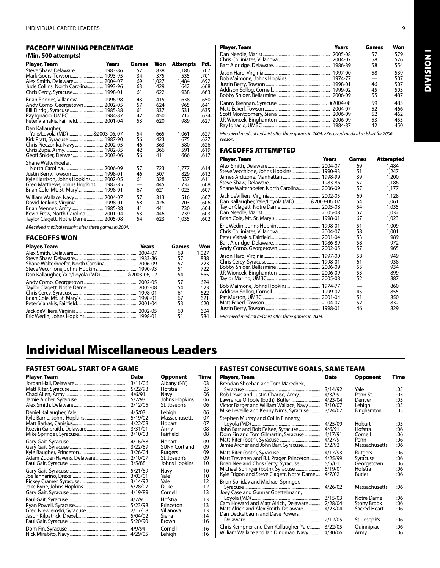#### FACEOFF WINNING PERCENTAGE **(Min. 500 attempts)**

| (IVIIII, JUV attempts)                                                         |       |          |            |                 |              |
|--------------------------------------------------------------------------------|-------|----------|------------|-----------------|--------------|
| Player, Team                                                                   | Years | Games    | Won        | <b>Attempts</b> | Pct.         |
| Steve Shaw, Delaware 1983-86                                                   |       | 57       | 838        | 1,186           | .707         |
|                                                                                |       | 34       | 375        | 535             | .701         |
|                                                                                |       | 69       | 1,027      | 1,484           | .692         |
| Jude Collins, North Carolina 1993-96                                           |       | 63<br>61 | 429<br>622 | 642<br>938      | .668<br>.663 |
|                                                                                |       |          |            |                 |              |
| Brian Rhodes, Villanova 1996-98                                                |       | 43<br>57 | 415<br>624 | 638<br>965      | .650<br>.641 |
|                                                                                |       | 61       | 337        | 531             | .635         |
|                                                                                |       | 42       | 450        | 712             | .634         |
| Peter Vlahakis, Fairfield 2001-04                                              |       | 53       | 620        | 989             | .627         |
| Dan Kallaugher,                                                                |       |          |            |                 |              |
| Yale/Loyola (MD) &2003-06, 07                                                  |       | 54       | 665        | 1,061           | .627         |
|                                                                                |       | 56       | 423        | 675             | .627         |
| Chris Pieczonka, Navy 2002-05                                                  |       | 46       | 363        | 580             | .626         |
|                                                                                |       | 42       | 366        | 591             | .619         |
|                                                                                |       | 56       | 411        | 666             | .617         |
| Shane Walterhoefer,                                                            |       |          |            |                 |              |
|                                                                                |       | 57       | 723        | 1,777           | .614         |
| Justin Berry, Towson  1998-01                                                  |       | 46<br>61 | 507<br>328 | 829<br>537      | .612<br>.611 |
| Kyle Harrison, Johns Hopkins  2002-05<br>Greg Matthews, Johns Hopkins  1982-85 |       |          | 445        | 732             | .608         |
|                                                                                |       | 67       | 621        | 1,023           | .607         |
|                                                                                |       | 57       | 313        | 516             | .607         |
|                                                                                |       | 58       | 426        | 703             | .606         |
|                                                                                |       | 41       | 441        | 730             | .604         |
| Kevin Frew, North Carolina 2001-04                                             |       | 53       | 446        | 739             | .603         |
| Taylor Clagett, Notre Dame 2005-08                                             |       | 54       | 623        | 1,035           | .602         |

*&Received medical redshirt after three games in 2004.*

#### FACEOFFS WON

| <b>Player, Team</b>                            | Years | Games | Won   |
|------------------------------------------------|-------|-------|-------|
|                                                |       | 69    | 1.027 |
|                                                |       | 57    | 838   |
|                                                |       | 57    | 723   |
|                                                |       | 51    | 722   |
| Dan Kallaugher, Yale/Loyola (MD)  &2003-06, 07 |       | 54    | 665   |
|                                                |       | 57    | 624   |
|                                                |       | 54    | 623   |
|                                                |       | 61    | 622   |
|                                                |       | 67    | 621   |
|                                                |       | 53    | 620   |
|                                                |       | 60    | 604   |
|                                                |       | 51    | 584   |

| <b>Player, Team</b> | <b>Years</b> | Games | Won |
|---------------------|--------------|-------|-----|
|                     | 2005-08      | 57    | 579 |
|                     | 2004-07      | 58    | 576 |
|                     |              | 58    | 554 |
|                     | 1997-00      | 58    | 539 |
|                     |              |       | 507 |
|                     | 1998-01      | 46    | 507 |
|                     | 1999-02      | 45    | 503 |
|                     |              | 55    | 487 |
|                     |              | 59    | 485 |
|                     |              | 52    | 466 |
|                     |              | 52    | 462 |
|                     |              | 53    | 455 |
|                     |              | 42    | 450 |

*&Received medical redshirt after three games in 2004. #Received medical redshirt for 2006 season.* 

#### FACEOFFS ATTEMPTED

| Player, Team                           | <b>Years</b> | Games    | Attempted      |
|----------------------------------------|--------------|----------|----------------|
|                                        |              | 69       | 1,484          |
| Steve Vecchione, Johns Hopkins 1990-93 |              | 51<br>39 | 1.247<br>1,200 |
|                                        |              | 57       | 1,186          |
|                                        |              | 57       | 1,177          |
|                                        |              | 60       | 1,128          |
|                                        |              | 54       | 1.061          |
|                                        |              | 54       | 1,035          |
|                                        |              | 57       | 1,032          |
|                                        |              | 67       | 1,023          |
|                                        |              | 51       | 1.009          |
|                                        |              | 58       | 1,001          |
|                                        |              | 53       | 989            |
|                                        |              | 58       | 972            |
|                                        |              | 57       | 965            |
|                                        |              | 58       | 949            |
|                                        |              | 61       | 938            |
|                                        |              | 55       | 934            |
|                                        |              | 53       | 899            |
|                                        |              | 52       | 887            |
|                                        |              |          | 860            |
|                                        |              | 45       | 855            |
|                                        |              | 51       | 850            |
|                                        |              | 52       | 832            |
|                                        |              | 46       | 829            |
|                                        |              |          |                |

*&Received medical redshirt after three games in 2004.*

# Individual Miscellaneous Leaders

# FASTEST GOAL, START OF A GAME

| Player, Team | Date                                     | Opponent                                                                          | Time                            |
|--------------|------------------------------------------|-----------------------------------------------------------------------------------|---------------------------------|
|              | 3/11/06                                  | Albany (NY)                                                                       | 03:                             |
|              | 5/22/93                                  | Hofstra                                                                           | :05                             |
|              | 4/6/91                                   | Navy                                                                              | :06                             |
|              | 5/7/93                                   | Johns Hopkins                                                                     | :06                             |
|              | 2/12/05                                  | St. Joseph's                                                                      | :06                             |
|              | 4/5/03                                   | Lehigh                                                                            | :06                             |
|              | 5/19/02                                  | Massachusetts                                                                     | :07                             |
|              | 4/22/08                                  | Hobart                                                                            | :07                             |
|              | 3/31/01                                  | Army                                                                              | :08                             |
|              | 3/10/03                                  | Fairfield                                                                         | :08                             |
|              | 4/16/88<br>3/22/89<br>3/26/04<br>3/5/88  | Hobart<br><b>SUNY Cortland</b><br><b>Rutgers</b><br>St. Joseph's<br>Johns Hopkins | :09<br>:09<br>:09<br>:09<br>:10 |
|              | 5/21/89<br>3/03/01<br>5/28/07<br>4/19/89 | Navy<br>Yale<br>Yale<br>Duke<br>Cornell                                           | :10<br>:10<br>:12<br>:12<br>:13 |
|              | 4/7/90                                   | Hofstra                                                                           | :13                             |
|              | 5/23/98                                  | Princeton                                                                         | :13                             |
|              | 2/17/08                                  | Villanova                                                                         | :13                             |
|              | 5/04/02                                  | Siena                                                                             | :14                             |
|              | 5/20/90                                  | Brown                                                                             | :16                             |
|              | 4/9/94                                   | Cornell                                                                           | :16                             |
|              | 4/29/05                                  | Lehigh                                                                            | :16                             |

#### FASTEST CONSECUTIVE GOALS, SAME TEAM

| Players, Team                                                                                                                                                                                        | Date                                               | Opponent                                                   | Time                            |
|------------------------------------------------------------------------------------------------------------------------------------------------------------------------------------------------------|----------------------------------------------------|------------------------------------------------------------|---------------------------------|
| Brendan Sheehan and Tom Marechek,<br>Rob Lewis and Justin Charise, Army<br>Lawrence O'Toole (both), Butler<br>Victor Barger and William Wallace, Navy<br>Mike Leveille and Kenny Nims, Syracuse      | 3/14/92<br>4/3/99<br>4/23/04<br>3/10/07<br>3/24/07 | Yale<br>Penn St.<br>Denver<br>Lehigh<br>Binghamton         | :05<br>:05<br>:05<br>:05<br>:05 |
| Stephen Murray and Collin Finnerty,<br>John Barr and Bob Feisee, Syracuse<br>Dom Fin and Tom Gilmartin, Syracuse<br>Jamie Archer and John Barr, Syracuse                                             | 4/25/09<br>4/6/91<br>4/17/91<br>4/27/91<br>5/2/92  | Hobart<br>Hofstra<br>Cornell<br>Penn<br>Massachusetts      | :05<br>:06<br>:06<br>:06<br>:06 |
| Matt Trevenen and B.J. Prager, Princeton<br>Brian Nee and Chris Cercy, Syracuse<br>Kyle Frigon and Steve Clagett, Notre Dame                                                                         | 4/17/93<br>4/25/99<br>5/5/01<br>5/19/01<br>4/7/02  | Rutgers<br>Syracuse<br>Georgetown<br>Hofstra<br>Butler     | :06<br>:06<br>:06<br>:06<br>:06 |
| Brian Solliday and Michael Springer,<br>Joey Case and Gunnar Goettelmann,<br>Cam Howard and Matt Alrich, Delaware 2/28/04<br>Matt Alrich and Alex Smith, Delaware<br>Dan Deckelbaum and Dave Powers, | 4/26/02<br>4/23/04                                 | Massachusetts<br>Notre Dame<br>Stony Brook<br>Sacred Heart | :06<br>:06<br>:06<br>:06        |
| Chris Kempner and Dan Kallaugher, Yale<br>William Wallace and Ian Dingman, Navy                                                                                                                      | 2/12/05<br>3/22/05<br>4/30/06                      | St. Joseph's<br>Quinnipiac<br>Army                         | :06<br>:06<br>:06               |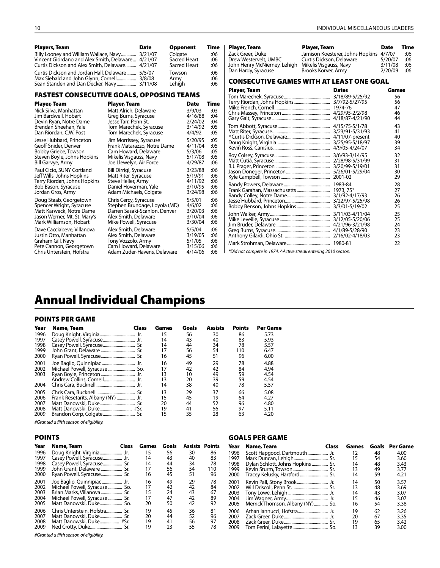| <b>Plavers, Team</b>                               | <b>Date</b> | <b>Opponent</b> | Time | Plaver, Team                 | Plaver, Team                                    | <b>Date</b> | Time |
|----------------------------------------------------|-------------|-----------------|------|------------------------------|-------------------------------------------------|-------------|------|
|                                                    |             | Colaate         | :06  | Zack Greer, Duke             | Jamison Koesterer, Johns Hopkins 4/7/07         |             | :06  |
| Vincent Giordano and Alex Smith, Delaware  4/21/07 |             | Sacred Heart    | :06  | Drew Westervelt, UMBC        | Curtis Dickson, Delaware                        | 5/20/07     | :06  |
| Curtis Dickson and Alex Smith, Delaware 4/21/07    |             | Sacred Heart    | :06  | John Henry McNierney, Lehigh | Mikelis Visgauss, Navy                          | 3/11/08     | :06  |
| Curtis Dickson and Jordan Hall, Delaware           | 5/5/07      | Towson          | :06  | Dan Hardy, Syracuse          | Brooks Korver, Army                             | 2/20/09     | :06  |
| Max Siebald and John Glynn, Cornell                | 3/8/08      | Armv            | :06  |                              | <b>CONSECUTIVE GAMES WITH AT LEAST ONE GOAL</b> |             |      |
|                                                    |             | Lehigh          | :06  |                              |                                                 |             |      |
|                                                    |             |                 |      |                              |                                                 |             |      |

### FASTEST CONSECUTIVE GOALS, OPPOSING TEAMS

| Player, Team                 | Player, Team                  | Date    | Time |
|------------------------------|-------------------------------|---------|------|
| Nick Silva, Manhattan        | Matt Alrich, Delaware         | 3/9/03  | :03  |
| Jim Bardwell, Hobart         | Greg Burns, Syracuse          | 4/16/88 | :04  |
| Devin Ryan, Notre Dame       | Jesse Tarr, Penn St.          | 2/24/02 | :04  |
| Brendan Sheehan, Yale        | Tom Marechek, Syracuse        | 3/14/92 | :05  |
| Dan Riordan, C.W. Post       | Tom Marechek, Syracuse        | 4/4/92  | :05  |
| Jesse Hubbard, Princeton     | Jim Morrissey, Syracuse       | 5/20/95 | :05  |
| Geoff Snider, Denver         | Frank Matarazzo, Notre Dame   | 4/11/04 | :05  |
| Bobby Griebe, Towson         | Cam Howard, Delaware          | 5/3/06  | :05  |
| Steven Boyle, Johns Hopkins  | Mikelis Visgauss, Navy        | 5/17/08 | :05  |
| Bill Garvye, Army            | Joe Llewelyn, Air Force       | 4/29/87 | :06  |
| Paul Cicio, SUNY Cortland    | Bill Dirrigl, Syracuse        | 3/23/88 | :06  |
| Jeff Wills, Johns Hopkins    | Matt Riter, Syracuse          | 5/19/91 | :06  |
| Terry Riordan, Johns Hopkins | Steve Heller, Army            | 4/11/92 | :06  |
| Bob Bason, Syracuse          | Daniel Hoverman, Yale         | 3/10/95 | :06  |
| Jordan Gros, Army            | Adam Michaels, Colgate        | 3/24/98 | :06  |
| Doug Staab, Georgetown       | Chris Cercy, Syracuse         | 5/5/01  | :06  |
| Spencer Wright, Syracuse     | Stephen Brundage, Loyola (MD) | 4/6/02  | :06  |
| Matt Karweck, Notre Dame     | Darren Sasaki-Scanlon, Denver | 3/20/03 | :06  |
| Jason Werner, Mt. St. Mary's | Alex Smith, Delaware          | 3/10/04 | :06  |
| Mark Williamson, Hobart      | Mike Powell, Syracuse         | 3/30/04 | :06  |
| Dave Cacciabeve, Villanova   | Alex Smith, Delaware          | 5/5/04  | :06  |
| Justin Otto, Manhattan       | Alex Smith, Delaware          | 3/19/05 | :06  |
| Graham Gill, Navy            | Tony Vozzolo, Army            | 5/1/05  | :06  |
| Pete Cannon, Georgetown      | Cam Howard, Delaware          | 3/15/06 | :06  |
| Chris Unterstein, Hofstra    | Adam Zuder-Havens, Delaware   | 4/14/06 | :06  |

| Player, Team                                                                                     | riayer, ream                                                                                                         | vale                                                        | шв                       |  |  |  |  |
|--------------------------------------------------------------------------------------------------|----------------------------------------------------------------------------------------------------------------------|-------------------------------------------------------------|--------------------------|--|--|--|--|
| Zack Greer, Duke<br>Drew Westervelt, UMBC<br>John Henry McNierney, Lehigh<br>Dan Hardy, Syracuse | Jamison Koesterer, Johns Hopkins 4/7/07<br>Curtis Dickson, Delaware<br>Mikelis Visgauss, Navy<br>Brooks Korver, Army | 5/20/07<br>3/11/08<br>2/20/09                               | :06<br>:06<br>:06<br>:06 |  |  |  |  |
| CONSECUTIVE GAMES WITH AT LEAST ONE GOAL                                                         |                                                                                                                      |                                                             |                          |  |  |  |  |
| <b>Player, Team</b>                                                                              | <b>Dates</b>                                                                                                         | Games<br>56<br>56<br>47<br>46<br>44<br>43<br>41<br>40<br>39 |                          |  |  |  |  |
|                                                                                                  | 4/9/05-4/24/07                                                                                                       | 34<br>32<br>31<br>31<br>30<br>29                            |                          |  |  |  |  |
|                                                                                                  |                                                                                                                      | 28<br>27<br>26<br>26<br>25                                  |                          |  |  |  |  |
|                                                                                                  |                                                                                                                      | 25<br>25<br>24<br>23<br>23                                  |                          |  |  |  |  |
|                                                                                                  |                                                                                                                      | 22                                                          |                          |  |  |  |  |
| *Did not compete in 1974. ^Active streak entering 2010 season.                                   |                                                                                                                      |                                                             |                          |  |  |  |  |

# Annual Individual Champions

#### POINTS PER GAME

| Year | Name, Team                         | Class | Games | Goals | Assists | <b>Points</b> | Per Game |
|------|------------------------------------|-------|-------|-------|---------|---------------|----------|
| 1996 |                                    |       | 15    | 56    | 30      | 86            | 5.73     |
| 1997 |                                    |       | 14    | 43    | 40      | 83            | 5.93     |
| 1998 |                                    |       | 14    | 44    | 34      | 78            | 5.57     |
| 1999 |                                    |       | 17    | 56    | 54      | 110           | 6.47     |
| 2000 | Ryan Powell, Syracuse Sr.          |       | 16    | 45    | 51      | 96            | 6.00     |
| 2001 |                                    |       | 16    | 49    | 29      | 78            | 4.88     |
| 2002 |                                    |       | 17    | 42    | 42      | 84            | 4.94     |
| 2003 |                                    |       | 13    | 10    | 49      | 59            | 4.54     |
|      |                                    |       | 13    | 20    | 39      | 59            | 4.54     |
| 2004 |                                    |       | 14    | 38    | 40      | 78            | 5.57     |
| 2005 |                                    |       | 13    | 29    | 37      | 66            | 5.08     |
| 2006 | Frank Resetarits, Albany (NY)  Jr. |       | 15    | 45    | 19      | 64            | 4.27     |
| 2007 |                                    |       | 20    | 44    | 52      | 96            | 4.80     |
| 2008 |                                    |       | 19    | 41    | 56      | 97            | 5.11     |
| 2009 |                                    |       | 15    | 35    | 28      | 63            | 4.20     |

*#Granted a fifth season of eligibility.*

| Year         | Name, Team                                              | <b>Class</b> | Games    | Goals    | <b>Assists Points</b> |          |  |
|--------------|---------------------------------------------------------|--------------|----------|----------|-----------------------|----------|--|
| 1996<br>1997 | Doug Knight, Virginia Jr.<br>Casey Powell, Syracuse Jr. |              | 15<br>14 | 56<br>43 | 30<br>40              | 86<br>83 |  |
| 1998         | Casey Powell, Syracuse Sr.                              |              | 14       | 44       | 34                    | 78       |  |
| 1999         | John Grant, Delaware  Sr.                               |              | 17       | 56       | 54                    | 110      |  |
| 2000         | Ryan Powell, Syracuse Sr.                               |              | 16       | 45       | 51                    | 96       |  |
| 2001         | Joe Baglio, Quinnipiac Jr.                              |              | 16       | 49       | 29                    | 78       |  |
| 2002         | Michael Powell, Syracuse  So.                           |              | 17       | 42       | 42                    | 84       |  |
| 2003         | Brian Marks, Villanova Sr.                              |              | 15       | 24       | 43                    | 67       |  |
| 2004         | Michael Powell, Syracuse  Sr.                           |              | 17       | 47       | 42                    | 89       |  |
| 2005         | Matt Danowski, Duke So.                                 |              | 20       | 50       | 42                    | 92       |  |
| 2006         | Chris Unterstein, Hofstra Sr.                           |              | 19       | 45       | 36                    | 81       |  |
| 2007         | Matt Danowski, Duke Sr.                                 |              | 20       | 44       | 52                    | 96       |  |
| 2008         | Matt Danowski, Duke #Sr.                                |              | 19       | 41       | 56                    | 97       |  |
| 2009         |                                                         |              | 19       | 23       | 55                    | 78       |  |
|              | #Granted a fifth season of eligibility.                 |              |          |          |                       |          |  |

#### Goals Per Game

| Year | Name, Team                       | <b>Class</b> | Games | Goals | <b>Per Game</b> |
|------|----------------------------------|--------------|-------|-------|-----------------|
| 1996 | Scott Hapgood, Dartmouth Jr.     |              | 12    | 48    | 4.00            |
| 1997 |                                  |              | 15    | 54    | 3.60            |
| 1998 | Dylan Schlott, Johns Hopkins Sr. |              | 14    | 48    | 3.43            |
| 1999 |                                  |              | 13    | 49    | 3.77            |
| 2000 |                                  |              | 14    | 59    | 4.21            |
| 2001 |                                  |              | 14    | 50    | 3.57            |
| 2002 |                                  |              | 13    | 48    | 3.69            |
| 2003 |                                  |              | 14    | 43    | 3.07            |
| 2004 |                                  |              | 15    | 46    | 3.07            |
| 2005 | Merrick Thomson, Albany (NY) So. |              | 16    | 54    | 3.38            |
| 2006 |                                  |              | 19    | 62    | 3.26            |
| 2007 |                                  |              | 20    | 67    | 3.35            |
| 2008 |                                  |              | 19    | 65    | 3.42            |
| 2009 |                                  |              | 13    | 39    | 3.00            |

*#Granted a fifth season of eligibility.*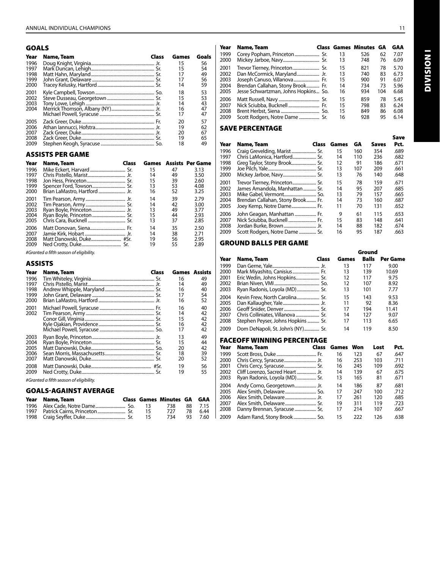# Goals

| Year | Class<br>Name, Team | Games | Goals |
|------|---------------------|-------|-------|
| 1996 |                     | 15    | 56    |
| 1997 |                     | 15    | 54    |
| 1998 |                     | 17    | 49    |
| 1999 |                     | 17    | 56    |
| 2000 |                     | 14    | 59    |
| 2001 |                     | 18    | 53    |
| 2002 |                     | 15    | 53    |
| 2003 |                     | 14    | 43    |
| 2004 |                     | 16    | 47    |
|      |                     | 17    | 47    |
| 2005 |                     | 20    | 57    |
| 2006 |                     | 19    | 62    |
| 2007 |                     | 20    | 67    |
| 2008 |                     | 19    | 65    |
| 2009 |                     | 18    | 49    |

# Assists Per Game

| Year | Name, Team                    | Class |    |    | <b>Games</b> Assists Per Game |
|------|-------------------------------|-------|----|----|-------------------------------|
| 1996 |                               |       | 15 | 47 | 3.13                          |
| 1997 |                               |       | 14 | 49 | 3.50                          |
| 1998 |                               |       | 15 | 39 | 2.60                          |
| 1999 |                               |       | 13 | 53 | 4.08                          |
| 2000 | Brian LaMastro, Hartford  Jr. |       | 16 | 52 | 3.25                          |
| 2001 |                               |       | 14 | 39 | 2.79                          |
| 2002 |                               |       | 14 | 42 | 3.00                          |
| 2003 |                               |       | 13 | 49 | 3.77                          |
| 2004 |                               |       | 15 | 44 | 2.93                          |
| 2005 |                               |       | 13 | 37 | 2.85                          |
| 2006 |                               |       | 14 | 35 | 2.50                          |
| 2007 |                               |       | 14 | 38 | 2.71                          |
| 2008 |                               |       | 19 | 56 | 2.95                          |
| 2009 |                               |       | 19 | 55 | 2.89                          |

*#Granted a fifth season of eligibility.*

#### **ASSISTS**

| Year | Name, Team                              | Class | <b>Games</b> Assists |    |
|------|-----------------------------------------|-------|----------------------|----|
| 1996 |                                         |       | 16                   | 49 |
| 1997 |                                         |       | 14                   | 49 |
| 1998 |                                         |       | 16                   | 40 |
| 1999 |                                         |       | 17                   | 54 |
| 2000 |                                         |       | 16                   | 52 |
| 2001 |                                         |       | 16                   | 40 |
| 2002 |                                         |       | 14                   | 42 |
|      |                                         |       | 15                   | 42 |
|      |                                         |       | 16                   | 42 |
|      |                                         |       | 17                   | 42 |
| 2003 |                                         |       | 13                   | 49 |
| 2004 |                                         |       | 15                   | 44 |
| 2005 |                                         |       | 20                   | 42 |
| 2006 |                                         |       | 18                   | 39 |
| 2007 |                                         |       | 20                   | 52 |
| 2008 |                                         |       | 19                   | 56 |
| 2009 |                                         |       | 19                   | 55 |
|      | #Granted a fifth season of eligibility. |       |                      |    |

### Goals-Against Average

|      | Year Name, Team |     | <b>Class Games Minutes GA GAA</b> |     |         |
|------|-----------------|-----|-----------------------------------|-----|---------|
|      |                 | -13 | 738                               |     | 88 7.15 |
| 1997 |                 | 15  | 727                               | -78 | 6.44    |
|      |                 | 15  | 734                               | ୨୨  | 7.60    |

|                                                                                                           | <b>Class Games Minutes</b> | GA  | GAA  |
|-----------------------------------------------------------------------------------------------------------|----------------------------|-----|------|
| 13                                                                                                        | 526                        | 62  | 7.07 |
| 13                                                                                                        | 748                        | 76  | 6.09 |
| 15                                                                                                        | 821                        | 78  | 5.70 |
| 13                                                                                                        | 740                        | 83  | 6.73 |
| 15                                                                                                        | 900                        | 91  | 6.07 |
| 14                                                                                                        | 734                        | 73  | 5.96 |
| 16                                                                                                        | 934                        | 104 | 6.68 |
| 15                                                                                                        | 859                        | 78  | 5.45 |
| 15                                                                                                        | 798                        | 83  | 6.24 |
| 15                                                                                                        | 849                        | 86  | 6.08 |
| 16                                                                                                        | 928                        | 95  | 6.14 |
| Joseph Canuso, Villanova Fr.<br>Brendan Callahan, Stony Brook Fr.<br>Jesse Schwartzman, Johns Hopkins So. |                            |     |      |

#### Save Percentage

| Year | Name, Team<br><b>Class</b>        | Games | GA  | Saves | Save<br>Pct. |
|------|-----------------------------------|-------|-----|-------|--------------|
| 1996 | Craig Grevelding, Marist Sr.      | 15    | 160 | 354   | .689         |
| 1997 |                                   | 14    | 110 | 236   | .682         |
| 1998 |                                   | 12    | 91  | 186   | .671         |
| 1999 |                                   | 13    | 107 | 209   | .661         |
| 2000 |                                   | 13    | 76  | 140   | .648         |
| 2001 | Trevor Tierney, Princeton Sr.     | 15    | 78  | 159   | .671         |
| 2002 | James Amandola, Manhattan  Sr.    | 14    | 95  | 207   | .685         |
| 2003 |                                   | 13    | 79  | 157   | .665         |
| 2004 | Brendan Callahan, Stony Brook Fr. | 14    | 73  | 160   | .687         |
| 2005 | Joey Kemp, Notre Dame Fr.         | 11    | 70  | 131   | .652         |
| 2006 | John Geagan, Manhattan  Fr.       | 9     | 61  | 115   | .653         |
| 2007 | Nick Sciubba, Bucknell  Fr.       | 15    | 83  | 148   | .641         |
| 2008 |                                   | 14    | 88  | 182   | .674         |
| 2009 | Scott Rodgers, Notre Dame  Sr.    | 16    | 95  | 187   | .663         |

#### Ground Balls Per Game

|      |                                    |       |       | Ground       |                 |
|------|------------------------------------|-------|-------|--------------|-----------------|
| Year | Name, Team                         | Class | Games | <b>Balls</b> | <b>Per Game</b> |
| 1999 |                                    |       | 13    | 117          | 9.00            |
| 2000 | Mark Miyashito, Canisius Fr.       |       | 13    | 139          | 10.69           |
| 2001 | Eric Wedin, Johns Hopkins Sr.      |       | 12    | 117          | 9.75            |
| 2002 |                                    |       | 12    | 107          | 8.92            |
| 2003 | Ryan Radonis, Loyola (MD) Sr.      |       | 13    | 101          | 7.77            |
| 2004 |                                    |       | 15    | 143          | 9.53            |
| 2005 |                                    |       | 11    | 92           | 8.36            |
| 2006 |                                    |       | 17    | 194          | 11.41           |
| 2007 |                                    |       | 14    | 127          | 9.07            |
| 2008 | Stephen Peyser, Johns Hopkins  Sr. |       | 17    | 113          | 6.65            |
| 2009 | Dom DeNapoli, St. John's (NY) Sr.  |       | 14    | 119          | 8.50            |

### FaceOff WINNING Percentage

| Year | Name, Team                       | <b>Class</b> | Games | Won | Lost | Pct. |
|------|----------------------------------|--------------|-------|-----|------|------|
| 1999 |                                  |              | 16    | 123 | 67   | .647 |
| 2000 |                                  |              | 16    | 253 | 103  | .711 |
| 2001 |                                  |              | 16    | 245 | 109  | .692 |
| 2002 | Cliff Lorenzo, Sacred Heart  Jr. |              | 14    | 139 | 67   | .675 |
| 2003 | Ryan Radonis, Loyola (MD) Sr.    |              | 13    | 165 | 81   | .671 |
| 2004 | Andy Corno, Georgetown Jr.       |              | 14    | 186 | 87   | .681 |
| 2005 |                                  |              | 17    | 247 | 100  | .712 |
| 2006 |                                  |              | 17    | 261 | 120  | .685 |
| 2007 |                                  |              | 19    | 311 | 119  | .723 |
| 2008 | Danny Brennan, Syracuse  Sr,     |              | 17    | 214 | 107  | .667 |
| 2009 | Adam Rand, Stony Brook  So.      |              | 15    | 222 | 126  | .638 |

**DIVISION I** Division I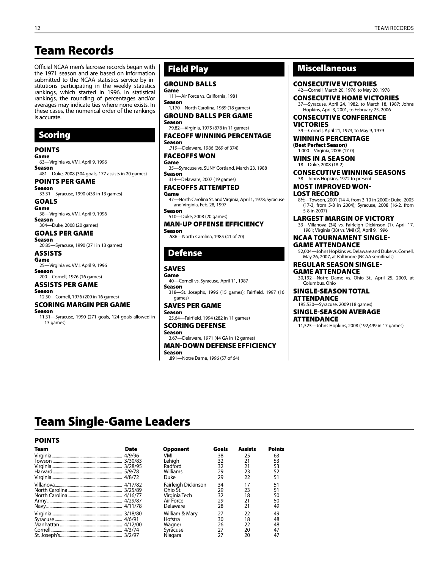# Team Records

Official NCAA men's lacrosse records began with the 1971 season and are based on information submitted to the NCAA statistics service by institutions participating in the weekly statistics rankings, which started in 1996. In statistical rankings, the rounding of percentages and/or averages may indicate ties where none exists. In these cases, the numerical order of the rankings is accurate.

# Scoring

# POINTS

Game 63—Virginia vs. VMI, April 9, 1996 Season 481—Duke, 2008 (304 goals, 177 assists in 20 games) POINTS PER GAME Season 33.31—Syracuse, 1990 (433 in 13 games) GOALS Game 38—Virginia vs. VMI, April 9, 1996

Season 304—Duke, 2008 (20 games)

#### GOALS PER GAME

Season 20.85—Syracuse, 1990 (271 in 13 games)

ASSISTS Game 25—Virginia vs. VMI, April 9, 1996 Season

200—Cornell, 1976 (16 games) ASSISTS PER GAME

# Season

12.50—Cornell, 1976 (200 in 16 games)

#### SCORING MARGIN Per Game Season

11.31—Syracuse, 1990 (271 goals, 124 goals allowed in 13 games)

# Field Play

#### GROUND BALLS

Game 111—Air Force vs. California, 1981 Season

1,170—North Carolina, 1989 (18 games) GROUND BALLS PER GAME

Season 79.82—Virginia, 1975 (878 in 11 games)

#### FACEOFF WINNING PERCENTAGE

Season .719—Delaware, 1986 (269 of 374) FACEOFFS WON

Game 35—Syracuse vs. SUNY Cortland, March 23, 1988 Season

314—Delaware, 2007 (19 games) FACEOFFS ATTEMPTED

#### Game 47—North Carolina St. and Virginia, April 1, 1978; Syracuse and Virginia, Feb. 28, 1997

Season 510—Duke, 2008 (20 games)

#### MAN-UP OFFENSE efficiency Season

.586—North Carolina, 1985 (41 of 70)

# Defense

# SAVES

Game 40—Cornell vs. Syracuse, April 11, 1987 Season

318—St. Joseph's, 1996 (15 games); Fairfield, 1997 (16 games)

# SAVES PER GAME

Season 25.64—Fairfield, 1994 (282 in 11 games)

#### SCORING DEFENSE

Season

3.67—Delaware, 1971 (44 GA in 12 games) MAN-DOWN DEFENSE efficiency

Season .891—Notre Dame, 1996 (57 of 64)

# Miscellaneous

CONSECUTIVE Victories 42—Cornell, March 20, 1976, to May 20, 1978

CONSECUTIVE HOME victories -Syracuse, April 24, 1982, to March 18, 1987; Johns Hopkins, April 3, 2001, to February 25, 2006

#### CONSECUTIVE CONFERENCE **VICTORIES**

39—Cornell, April 21, 1973, to May 9, 1979 WINNING PERCENTAGE

(Best Perfect Season) 1.000—Virginia, 2006 (17-0)

#### WINS IN A SEASON 18—Duke, 2008 (18-2)

CONSECUTIVE WINNING SEASONS 38—Johns Hopkins, 1972 to present

#### MOst Improved Won-

Lost Record

81/2—Towson, 2001 (14-4, from 3-10 in 2000); Duke, 2005 (17-3, from 5-8 in 2004); Syracuse, 2008 (16-2, from 5-8 in 2007)

Largest Margin of Victory

33—Villanova (34) vs. Fairleigh Dickinson (1), April 17, 1981; Virginia (38) vs. VMI (5), April 9, 1996

NCAA Tournament Single-Game Attendance

52,004—Johns Hopkins vs. Delaware and Duke vs. Cornell, May 26, 2007, at Baltimore (NCAA semifinals)

REgular SEason Single- Game Attendance 30,192—Notre Dame vs. Ohio St., April 25, 2009, at

Columbus, Ohio

#### Single-Season Total **ATTENDANCE**

195,530—Syracuse, 2009 (18 games)

#### Single-Season Average **ATTENDANCE**

11,323—Johns Hopkins, 2008 (192,499 in 17 games)

# Team Single-Game Leaders

#### POINTS

| Team          | Date    |
|---------------|---------|
|               | 4/9/96  |
|               | 3/30/83 |
|               | 3/28/95 |
|               | 5/9/78  |
|               | 4/8/72  |
|               | 4/17/82 |
|               | 3/25/89 |
|               | 4/16/77 |
|               | 4/29/87 |
|               | 4/11/78 |
|               | 3/18/80 |
|               | 4/6/91  |
|               | 4/12/00 |
|               | 4/3/74  |
| $C+$ locaphic | דחורו כ |

| Team | Date | <b>Opponent</b>     | Goals | <b>Assists</b> | <b>Points</b> |
|------|------|---------------------|-------|----------------|---------------|
|      |      | VMI                 | 38    | 25             | 63            |
|      |      | Lehiah              | 32    | 21             | 53            |
|      |      | Radford             | 32    | 21             | 53            |
|      |      | Williams            | 29    | 23             | 52            |
|      |      | Duke                | 29    | 22             | 51            |
|      |      | Fairleigh Dickinson | 34    | 17             | 51            |
|      |      | Ohio St.            | 29    | 23             | 51            |
|      |      | Virginia Tech       | 32    | 18             | 50            |
|      |      | Air Force           | 29    | 21             | 50            |
|      |      | Delaware            | 28    | 21             | 49            |
|      |      | William & Mary      | 27    | 22             | 49            |
|      |      | Hofstra             | 30    | 18             | 48            |
|      |      | Wagner              | 26    | 22             | 48            |
|      |      | Syracuse            | 27    | 20             | 47            |
|      |      | Niagara             | 27    | 20             | 47            |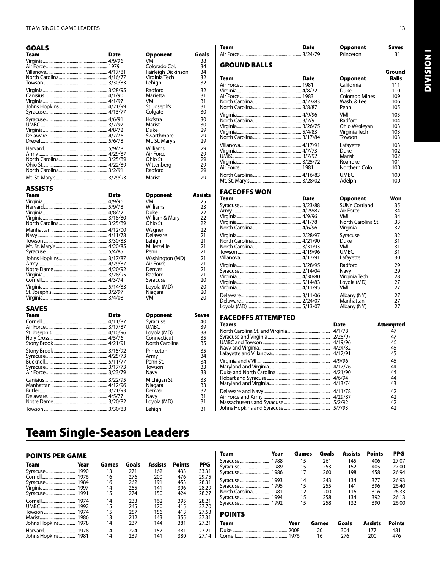# GOALS

| Team | Date | <b>Opponent</b>     | Goals |
|------|------|---------------------|-------|
|      |      | VMI                 | 38    |
|      |      | Colorado Col.       | 34    |
|      |      | Fairleigh Dickinson | 34    |
|      |      | Virginia Tech       | 32    |
|      |      | Lehigh              | 32    |
|      |      | Radford             | 32    |
|      |      | Marietta            | 31    |
|      |      | VMI                 | 31    |
|      |      | St. Joseph's        | 31    |
|      |      | Colgate             | 30    |
|      |      | Hofstra             | 30    |
|      |      | Marist              | 30    |
|      |      | Duke                | 29    |
|      |      | Swarthmore          | 29    |
|      |      | Mt. St. Mary's      | 29    |
|      |      | Williams            | 29    |
|      |      | Air Force           | 29    |
|      |      | Ohio St.            | 29    |
|      |      | Wittenberg          | 29    |
|      |      | Radford             | 29    |
|      |      | Marist              | 29    |

#### ASSISTS

| Team | Date | <b>Opponent</b> | <b>Assists</b> |
|------|------|-----------------|----------------|
|      |      | VMI             | 25             |
|      |      | Williams        | 23             |
|      |      | Duke            | 22             |
|      |      | William & Mary  | 22             |
|      |      | Ohio St.        | 22             |
|      |      | Wagner          | 22             |
|      |      | Delaware        | 21             |
|      |      | Lehiah          | 21             |
|      |      | Millersville    | 21             |
|      |      | Penn            | 21             |
|      |      | Washington (MD) | 21             |
|      |      | Air Force       | 21             |
|      |      | Denver          | 21             |
|      |      | Radford         | 21             |
|      |      | Syracuse        | 20             |
|      |      | Loyola (MD)     | 20             |
|      |      | Niagara         | 20             |
|      |      | VMI             | 20             |

#### SAVES

| <b>Team</b>   | <b>Date</b> | <b>Opponent</b> | <b>Saves</b> |
|---------------|-------------|-----------------|--------------|
|               |             | Syracuse        | 40           |
|               |             | <b>UMBC</b>     | 39           |
|               |             | Loyola (MD)     | 38           |
|               |             | Connecticut     | 35           |
|               |             | North Carolina  | 35           |
|               |             | Princeton       | 35           |
|               |             | Army            | 34           |
|               |             | Penn St.        | 34           |
|               |             | Towson          | 33           |
|               |             | Navv            | 33           |
|               |             | Michigan St.    | 33           |
|               |             | Niagara         | 33           |
|               |             | Denver          | 32           |
|               |             | Navy            | 31           |
|               |             | Loyola (MD)     | 31           |
| $T_{0111000}$ | 2/20/02     | المنطم ا        | 21           |

| Opponent<br>VMI<br>Colorado Col.<br>Fairleigh Dickinson<br>Virginia Tech<br>Lehigh | Go |
|------------------------------------------------------------------------------------|----|
| Radford<br>Marietta<br>VMI<br>St. Joseph's<br>Colgate                              |    |
| Hofstra<br>Marist<br>Duke<br>Swarthmore<br>Mt. St. Mary's                          |    |
| Williams<br>Air Force<br>Ohio St.<br>Wittenberg<br>Radford                         |    |

| Assis    |
|----------|
| 25       |
| 23       |
| 22       |
| 22       |
| 22       |
| 22       |
| 21       |
| 21       |
| 21       |
| 21       |
| 21       |
| 21       |
| 21       |
| 21       |
| 20       |
| 20       |
| 20<br>חר |
|          |

| <b>Date</b> | <b>Opponent</b> | Save           |
|-------------|-----------------|----------------|
|             | Syracuse        | 40             |
|             | <b>UMBC</b>     | 39             |
|             | Loyola (MD)     | 38             |
|             | Connecticut     | 35             |
|             |                 | 35             |
|             | Princeton       | 35             |
|             | Army            | 34             |
|             | Penn St.        | 34             |
|             | Towson          | 33             |
|             | Navv            | 33             |
|             | Michigan St.    | 33             |
|             | Niagara         | 33             |
|             | Denver          | 32             |
|             | Navy            | 31             |
|             | Loyola (MD)     | 31             |
|             | Lehiah          | 31             |
|             |                 | North Carolina |

#### GROUND BALLS Team Date Opponent Air Force......................................................... 1981 California 111 Virginia............................................................ 4/8/72 Duke 110 4/6/72<br>1983 Colorado Mines 109<br>4/23/83 Wash. & Lee 106 North Carolina............................................. 4/23/83 Wash. & Lee 106 North Carolina.. Virginia............................................................ 4/9/96 VMI 105 North Carolina............................................. 3/2/91 Radford 104 Virginia............................................................ 3/26/75 Ohio Wesleyan 103 Virginia............................................................ 5/4/83 Virginia Tech 103 North Carolina... Villanova......................................................... 4/17/91 Lafayette 103 Virginia............................................................ 4/7/73 Duke 102 UMBC .............................................................. 3/7/92 Marist 102 Virginia............................................................ 3/25/72 Roanoke 101 North Carolina............................................. 4/16/83 UMBC 100 Mt. St. Mary's. FACEOFFS WON **Date Opponent Won**<br>3/23/88 SUNY Cortland 35

Air Force......................................................... 3/24/79 Princeton 31

Team Date Opponent Saves

| SUNY Cortland      | 35 |
|--------------------|----|
| Air Force          | 34 |
| VMI                | 34 |
| North Carolina St. | 33 |
| Virginia           | 32 |
| Syracuse           | 32 |
| Duke               | 31 |
| VMI                | 31 |
| <b>UMBC</b>        | 31 |
| Lafayette          | 30 |
| Radford            | 29 |
| Navv               | 29 |
| Virginia Tech      | 28 |
| Loyola (MD)        | 27 |
| VMI                | 27 |
| Albany (NY)        | 27 |
| Manhattan          | 27 |
| Albany (NY)        | 27 |
|                    |    |

#### FACEOFFS ATTEMPTED

| <b>Teams</b> | <b>Date</b> | <b>Attempted</b> |
|--------------|-------------|------------------|
|              |             | 47               |
|              |             | 47               |
|              |             | 46               |
|              |             | 45               |
|              |             | 45               |
|              |             | 45               |
|              |             | 44               |
|              |             | 44               |
|              |             | 44               |
|              |             | 43               |
|              |             | 42               |
|              |             | 42               |
|              |             | 42               |
|              |             | 42               |

# Team Single-Season Leaders

### POINTS PER GAME

| Team               | Year | Games | Goals | <b>Assists</b> | <b>Points</b> | PPG   |
|--------------------|------|-------|-------|----------------|---------------|-------|
|                    |      | 13    | 271   | 162            | 433           | 33.31 |
|                    |      | 16    | 276   | 200            | 476           | 29.75 |
|                    |      | 16    | 262   | 191            | 453           | 28.31 |
|                    |      | 14    | 255   | 141            | 396           | 28.29 |
|                    |      | 15    | 274   | 150            | 424           | 28.27 |
|                    |      | 14    | 233   | 162            | 395           | 28.21 |
|                    |      | 15    | 245   | 170            | 415           | 27.70 |
|                    |      | 15    | 257   | 156            | 413           | 27.53 |
|                    |      | 13    | 212   | 143            | 355           | 27.31 |
| Johns Hopkins 1978 |      | 14    | 237   | 144            | 381           | 27.21 |
|                    |      | 14    | 224   | 157            | 381           | 27.21 |
| Johns Hopkins 1981 |      | 14    | 239   | 141            | 380           | 27.14 |

| Team           | Year | Games    | Goals      | <b>Assists</b> | <b>Points</b>  | <b>PPG</b>     |
|----------------|------|----------|------------|----------------|----------------|----------------|
|                |      | 15       | 261        | 145            | 406            | 27.07          |
|                |      | 15<br>17 | 253<br>260 | 152<br>198     | 405<br>458     | 27.00<br>26.94 |
|                |      |          |            |                |                |                |
|                |      | 14<br>15 | 243<br>255 | 134<br>141     | 377<br>396     | 26.93<br>26.40 |
| North Carolina | 1981 | 12       | 200        | 116            | 316            | 26.33          |
|                |      | 15       | 258        | 134            | 392            | 26.13          |
|                |      | 15       | 258        | 132            | 390            | 26.00          |
| <b>POINTS</b>  |      |          |            |                |                |                |
| Team           |      | Year     | Games      | Goals          | <b>Assists</b> | <b>Points</b>  |
|                |      |          | 20         | 304            | 177            | 481            |
|                |      |          | 16         | 276            | 200            | 476            |

Ground<br>Balls

Northern Colo.

SUNY Cortland 35<br>
Air Force 34<br>
VMI 34

**DIVISION I** Division I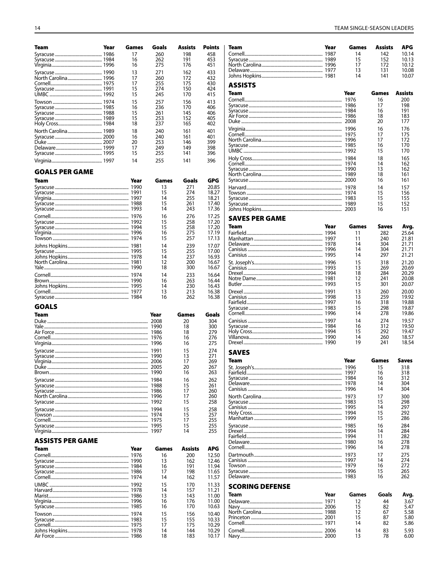| Team                            | Year | Games    | Goals        | <b>Assists</b> | <b>Points</b>  |
|---------------------------------|------|----------|--------------|----------------|----------------|
|                                 |      | 17<br>16 | 260<br>262   | 198<br>191     | 458<br>453     |
|                                 |      | 16       | 275          | 176            | 451            |
|                                 |      | 13<br>17 | 271          | 162<br>172     | 433<br>432     |
|                                 |      | 17       | 260<br>255   | 175            | 430            |
|                                 |      | 15       | 274          | 150            | 424            |
|                                 |      | 15       | 245          | 170            | 415            |
|                                 |      | 15<br>16 | 257<br>236   | 156<br>170     | 413<br>406     |
|                                 |      | 15       | 261          | 145            | 406            |
|                                 |      | 15<br>18 | 253<br>237   | 152<br>165     | 405<br>402     |
|                                 |      | 18       | 240          | 161            | 401            |
|                                 |      | 16       | 240          | 161            | 401            |
|                                 |      | 20<br>17 | 253<br>249   | 146<br>149     | 399<br>398     |
|                                 |      | 15       | 255          | 141            | 396            |
|                                 |      | 14       | 255          | 141            | 396            |
| <b>GOALS PER GAME</b>           |      |          |              |                |                |
| Team                            |      | Year     | Games        | Goals          | GPG            |
|                                 |      |          | 13           | 271            | 20.85          |
|                                 |      |          | 15           | 274            | 18.27          |
|                                 |      |          | 14<br>15     | 255<br>261     | 18.21<br>17.40 |
|                                 |      |          | 14           | 243            | 17.36          |
|                                 |      |          | 16           | 276            | 17.25          |
|                                 |      |          | 15<br>15     | 258<br>258     | 17.20<br>17.20 |
|                                 |      |          | 16           | 275            | 17.19          |
|                                 |      |          | 15           | 257            | 17.13          |
|                                 |      |          | 14           | 239            | 17.07          |
|                                 |      |          | 15<br>14     | 255<br>237     | 17.00<br>16.93 |
|                                 |      |          | 12           | 200            | 16.67          |
|                                 |      |          | 18           | 300            | 16.67          |
|                                 |      |          | 14<br>16     | 233<br>263     | 16.64<br>16.44 |
|                                 |      |          | 14           | 230            | 16.43          |
|                                 |      |          |              |                |                |
|                                 |      |          | 13           | 213            | 16.38          |
|                                 |      |          | 16           | 262            | 16.38          |
| <b>GOALS</b>                    |      |          |              |                |                |
| Team                            |      |          | Year         | Games<br>20    | Goals<br>304   |
|                                 |      |          | 1990         | 18             | 300            |
|                                 |      |          | 1986<br>1976 | 18<br>16       | 279<br>276     |
|                                 |      |          | 1996         | 16             | 275            |
|                                 |      |          | 1991         | 15             | 274            |
|                                 |      |          | 1990         | 13             | 271            |
|                                 |      |          |              | 17<br>20       | 269<br>267     |
|                                 |      |          |              | 16             | 263            |
|                                 |      |          |              | 16             | 262            |
|                                 |      |          |              | 15<br>17       | 261<br>260     |
|                                 |      |          |              | 17             | 260            |
|                                 |      |          |              | 15<br>15       | 258            |
|                                 |      |          |              | 15             | 258<br>257     |
|                                 |      |          |              | 17             | 255            |
|                                 |      |          | 1997         | 15<br>14       | 255<br>255     |
|                                 |      |          |              |                |                |
| <b>ASSISTS PER GAME</b><br>Team |      | Year     | Games        | Assists        | APG            |
|                                 |      |          | 16           | 200            | 12.50          |
|                                 |      |          | 13<br>16     | 162<br>191     | 12.46          |
|                                 |      |          | 17           | 198            | 11.94<br>11.65 |
|                                 |      |          | 14           | 162            | 11.57          |
|                                 |      |          | 15<br>14     | 170            | 11.33          |
|                                 |      |          | 13           | 157<br>143     | 11.21<br>11.00 |
|                                 |      |          | 16           | 176            | 11.00          |
|                                 |      |          | 16           | 170            | 10.63          |
|                                 |      |          | 15<br>15     | 156<br>155     | 10.40<br>10.33 |
|                                 |      |          | 17<br>14     | 175<br>144     | 10.29<br>10.29 |

| Team           | Year | Games | <b>Assists</b> | APG            |
|----------------|------|-------|----------------|----------------|
|                |      | 14    | 142            | 10.14          |
|                |      | 15    | 152            | 10.13          |
|                |      | 17    | 172            | 10.12          |
|                |      | 13    | 131            | 10.08          |
|                |      | 14    | 141            | 10.07          |
| <b>ASSISTS</b> |      |       |                |                |
| Team           |      | Year  | Games          | <b>Assists</b> |
|                |      | 1976  | 16             | 200            |
|                |      | 1986  | 17             | 198            |
|                |      | 1984  | 16             | 191            |
|                |      | 1986  | 18             | 183            |
|                |      | 2008  | 20             | 177            |

|      | ΖU | .   |
|------|----|-----|
|      | 16 | 176 |
|      | 17 | 175 |
|      | 17 | 172 |
| 1985 | 16 | 170 |
|      | 15 | 170 |
| 1984 | 18 | 165 |
| 1974 | 14 | 162 |
| 1990 | 13 | 162 |
| 1989 | 18 | 161 |
|      | 16 | 161 |
| 1978 | 14 | 157 |
| 1974 | 15 | 156 |
| 1983 | 15 | 155 |
| 1989 | 15 | 152 |
|      | 16 | 151 |
|      |    |     |

#### **SAVES PER GAME**

| Team | Year | Games | Saves | Avg.  |
|------|------|-------|-------|-------|
|      | 1994 | 11    | 282   | 25.64 |
|      | 1997 | 11    | 240   | 21.81 |
|      | 1978 | 14    | 304   | 21.71 |
|      |      | 14    | 304   | 21.71 |
|      |      | 14    | 297   | 21.21 |
|      |      | 15    | 318   | 21.20 |
|      |      | 13    | 269   | 20.69 |
|      |      | 18    | 284   | 20.29 |
|      |      | 12    | 241   | 20.08 |
|      |      | 15    | 301   | 20.07 |
|      | 1991 | 13    | 260   | 20.00 |
|      |      | 13    | 259   | 19.92 |
|      |      | 16    | 318   | 19.88 |
|      |      | 15    | 298   | 19.87 |
|      |      | 14    | 278   | 19.86 |
|      | 1997 | 14    | 274   | 19.57 |
|      |      | 16    | 312   | 19.50 |
|      |      | 15    | 292   | 19.47 |
|      | 1990 | 14    | 260   | 18.57 |
|      | 1990 | 19    | 241   | 18.54 |

#### **SAVES**

Cornell..<br>Navy......

| Team            | Year  | <b>Games</b> | <b>Saves</b> |
|-----------------|-------|--------------|--------------|
|                 | 1996  | 15           | 318          |
|                 | 1997  | 16           | 318          |
|                 | 1984  | 16           | 312          |
|                 | 1978  | 14           | 304          |
|                 | 1996  | 14           | 304          |
|                 | 1973  | 17           | 300          |
|                 | 1983  | 15           | 298          |
|                 | 1995  | 14           | 297          |
|                 | 1994  | 15           | 292          |
|                 | 1999  | 15           | 286          |
|                 | 1985  | 16           | 284          |
|                 | 1994  | 14           | 284          |
|                 | 1994  | 11           | 282          |
|                 | 1980  | 16           | 278          |
|                 | 1996  | 14           | 278          |
|                 | 1973  | 17           | 275          |
|                 | 1997  | 14           | 274          |
|                 | 1979  | 16           | 272          |
|                 | 1996  | 15           | 265          |
|                 | 1983  | 16           | 262          |
| SCORING DEFENSE |       |              |              |
|                 |       |              |              |
| Year<br>Team    | Games | Goals        | Avg.         |
|                 | 12    | 44           | 3.67         |
|                 | 15    | 82           | 5.47         |
|                 | 12    | 67           | 5.58         |
|                 | 15    | 87           | 5.80         |
|                 | 14    | 82           | 5.86         |

 $\begin{array}{c} 14 \\ 13 \end{array}$ 

2006

 $\frac{1}{2000}$ 

83<br>78

5.93<br>6.00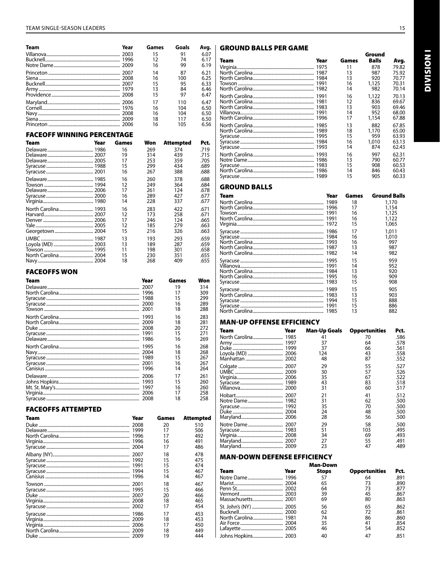#### TEAM SINGLE-SEASON LEADERS

| Team | Year | Games | Goals | Avq. |
|------|------|-------|-------|------|
|      |      | 15    | 91    | 6.07 |
|      |      | 12    | 74    | 6.17 |
|      |      | 16    | 99    | 6.19 |
|      |      | 14    | 87    | 6.21 |
|      |      | 16    | 100   | 6.25 |
|      |      | 15    | 95    | 6.33 |
|      |      | 13    | 84    | 6.46 |
|      |      | 15    | 97    | 6.47 |
|      |      | 17    | 110   | 6.47 |
|      |      | 16    | 104   | 6.50 |
|      |      | 16    | 104   | 6.50 |
|      |      | 18    | 117   | 6.50 |
|      |      | 16    | 105   | 6.56 |

#### **FACEOFF WINNING PERCENTAGE**

| Team | Year | Games | Won | Attempted | Pct. |
|------|------|-------|-----|-----------|------|
|      |      | 16    | 269 | 374       | .719 |
|      |      | 19    | 314 | 439       | .715 |
|      |      | 17    | 253 | 359       | .705 |
|      |      | 15    | 299 | 434       | .689 |
|      |      | 16    | 267 | 388       | .688 |
|      |      | 16    | 260 | 378       | .688 |
|      |      | 12    | 249 | 364       | .684 |
|      |      | 17    | 261 | 124       | .678 |
|      |      | 16    | 289 | 427       | .677 |
|      |      | 14    | 228 | 337       | .677 |
|      |      | 16    | 283 | 422       | .671 |
|      | 2007 | 12    | 173 | 258       | .671 |
|      |      | 17    | 246 | 124       | .665 |
|      |      | 12    | 185 | 279       | .663 |
|      |      | 15    | 216 | 326       | .663 |
|      |      | 13    | 193 | 293       | .659 |
|      |      | 13    | 189 | 287       | .659 |
|      |      | 11    | 198 | 301       | .658 |
|      |      | 15    | 230 | 351       | .655 |
|      |      | 18    | 268 | 409       | .655 |

#### **FACEOFFS WON**

| Team | Year | Games | Won |
|------|------|-------|-----|
|      |      | 19    | 314 |
|      | 1996 | 17    | 309 |
|      | 1988 | 15    | 299 |
|      | 2000 | 16    | 289 |
|      | 2001 | 18    | 288 |
|      | 1993 | 16    | 283 |
|      | 2009 | 18    | 281 |
|      |      | 20    | 272 |
|      | 1991 | 15    | 271 |
|      | 1986 | 16    | 269 |
|      | 1995 | 16    | 268 |
|      | 2004 | 18    | 268 |
|      | 1989 | 15    | 267 |
|      | 2001 | 16    | 267 |
|      | 1996 | 14    | 264 |
|      | 2006 | 17    | 261 |
|      | 1993 | 15    | 260 |
|      | 1997 | 16    | 260 |
|      | 2006 | 17    | 258 |
|      | 2008 | 18    | 258 |

#### **FACEOFFS ATTEMPTED**

| <b>Team</b> | Year | Games | Attempted |
|-------------|------|-------|-----------|
|             | 2008 | 20    | 510       |
|             | 1999 | 17    | 506       |
|             | 1996 |       | 492       |
|             | 1996 | 16    | 491       |
|             | 2004 | 17    | 486       |
|             |      | 18    | 478       |
|             |      | 15    | 475       |
|             |      | 15    | 474       |
|             |      | 15    | 467       |
|             | 1996 | 14    | 467       |
|             | 2001 | 18    | 467       |
|             |      | 15    | 466       |
|             |      | 20    | 466       |
|             |      | 18    | 465       |
|             |      | 17    | 454       |
|             |      | 17    | 453       |
|             |      | 18    | 453       |
|             |      | 17    | 450       |
|             |      | 18    | 449       |
|             | 2009 | 19    | 444       |

#### **GROUND BALLS PER GAME**

| Team | Year | Games | <b>Balls</b> | Avg.  |
|------|------|-------|--------------|-------|
|      |      | 11    | 878          | 79.82 |
|      |      | 13    | 987          | 75.92 |
|      |      | 13    | 920          | 70.77 |
|      |      | 16    | 1,125        | 70.31 |
|      |      | 14    | 982          | 70.14 |
|      |      | 16    | 1,122        | 70.13 |
|      |      | 12    | 836          | 69.67 |
|      |      | 13    | 903          | 69.46 |
|      |      | 14    | 952          | 68.00 |
|      |      | 17    | 1,154        | 67.88 |
|      |      | 13    | 882          | 67.85 |
|      |      | 18    | 1,170        | 65.00 |
|      |      | 15    | 959          | 63.93 |
|      |      | 16    | 1.010        | 63.13 |
|      |      | 14    | 874          | 62.43 |
|      |      | 16    | 997          | 62.31 |
|      | 1986 | 13    | 790          | 60.77 |
|      |      | 15    | 908          | 60.53 |
|      |      | 14    | 846          | 60.43 |
|      |      | 15    | 905          | 60.33 |
|      |      |       |              |       |

### **GROUND BALLS**

| Team | Year | Games | <b>Ground Balls</b> |
|------|------|-------|---------------------|
|      | 1989 | 18    | 1,170               |
|      |      | 17    | 1,154               |
|      |      | 16    | 1,125               |
|      |      | 16    | 1,122               |
|      |      | 15    | 1.065               |
|      |      | 17    | 1,011               |
|      |      | 16    | 1,010               |
|      | 1993 | 16    | 997                 |
|      |      | 13    | 987                 |
|      |      | 14    | 982                 |
|      |      | 15    | 959                 |
|      |      | 14    | 952                 |
|      |      | 13    | 920                 |
|      |      | 16    | 909                 |
|      |      | 15    | 908                 |
|      | 1989 | 15    | 905                 |
|      |      | 13    | 903                 |
|      |      | 15    | 888                 |
|      |      | 15    | 886                 |
|      |      | 13    | 882                 |

#### **MAN-UP OFFENSE EFFICIENCY**

| Team           | Year | <b>Man-Up Goals</b> | <b>Opportunities</b> | Pct. |
|----------------|------|---------------------|----------------------|------|
| North Carolina | 1985 | 41                  | 70                   | .586 |
|                |      | 37                  | 64                   | .578 |
|                |      | 37                  | 66                   | .561 |
|                |      | 124                 | 43                   | .558 |
|                |      | 48                  | 87                   | .552 |
|                |      | 29                  | 55                   | .527 |
|                |      | 30                  | 57                   | .526 |
|                |      | 35                  | 67                   | .522 |
|                |      | 43                  | 83                   | .518 |
|                |      | 31                  | 60                   | .517 |
|                |      | 21                  | 41                   | .512 |
|                |      | 31                  | 62                   | .500 |
|                |      | 35                  | 70                   | .500 |
|                |      | 24                  | 48                   | .500 |
|                |      | 28                  | 56                   | .500 |
|                |      | 29                  | 58                   | .500 |
|                |      | 51                  | 103                  | .495 |
|                |      | 34                  | 69                   | .493 |
|                |      | 27                  | 55                   | .491 |
|                |      | 23                  | 47                   | .489 |

#### **MAN-DOWN DEFENSE EFFICIENCY**

|      |      | <b>Man-Down</b> |                      |      |
|------|------|-----------------|----------------------|------|
| Team | Year | <b>Stops</b>    | <b>Opportunities</b> | Pct. |
|      |      | 57              | 64                   | .891 |
|      |      | 65              | 73                   | .890 |
|      |      | 64              | 73                   | .877 |
|      |      | 39              | 45                   | .867 |
|      |      | 69              | 80                   | .863 |
|      |      | 56              | 65                   | .862 |
|      |      | 62              | 72                   | .861 |
|      |      | 74              | 86                   | .860 |
|      |      | 35              | 41                   | .854 |
|      |      | 46              | 54                   | .852 |
|      |      | 40              | 47                   | .851 |

Ground

**UNISION**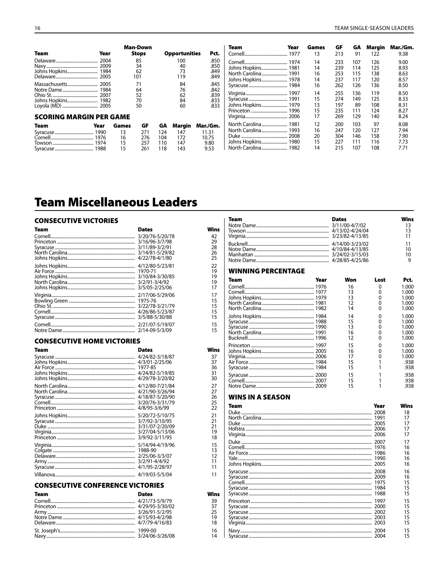|                                |      |       | <b>Man-Down</b> |     |                      |              | Team<br>Year        | Games | GF  | GA  | Margin | Mar./Gm.      |
|--------------------------------|------|-------|-----------------|-----|----------------------|--------------|---------------------|-------|-----|-----|--------|---------------|
| Team                           | Year |       | <b>Stops</b>    |     | <b>Opportunities</b> | Pct.         | 1977                | 13    | 213 | 91  | 122    | 9.38          |
|                                | 2004 |       | 85              |     | 100                  | .850         |                     | 14    | 233 | 107 | 126    | 9.00          |
|                                |      |       | 34              |     | 40                   | .850         |                     | 14    | 239 | 114 | 125    | 8.93          |
|                                |      |       | 62              |     | 73                   | .849         | North Carolina 1991 | 16    | 253 | 115 | 138    | 8.63          |
|                                |      |       | 101             |     | 119                  | .849         | Johns Hopkins 1978  | 14    | 237 | 117 | 120    | 8.57          |
|                                |      |       | 71              |     | 84                   | .845         |                     | 16    | 262 | 126 | 136    | 8.50          |
|                                |      |       | 64              |     | 76                   | .842         |                     | 14    | 255 | 136 | 119    | 8.50          |
|                                |      |       | 52<br>70        |     | 62<br>84             | .839<br>.833 |                     | 15    | 274 | 149 | 125    | 8.33          |
|                                |      |       | 50              |     | 60                   | .833         | Johns Hopkins 1979  | 13    | 197 | 89  | 108    | $8.3^{\circ}$ |
|                                |      |       |                 |     |                      |              |                     | 15    | 235 | 111 | 124    | 8.27          |
| <b>SCORING MARGIN PER GAME</b> |      |       |                 |     |                      |              |                     |       | 269 | 129 | 140    | 8.24          |
| Team<br>Year                   |      | Games | GF              | GA  | Margin               | Mar./Gm.     |                     | 12    | 200 | 103 | 97     | 8.08          |
| 1990                           |      | 13    | 271             | 124 | 147                  | 11.31        |                     | 16    | 247 | 120 | 127    | 7.94          |
|                                |      | 16    | 276             | 104 | 172                  | 10.75        | .2008               | 20    | 304 | 146 | 158    | 7.90          |
| 1974                           |      | 15    | 257             | 110 | 147                  | 9.80         | Johns Hopkins 1980  | 15    | 227 | 111 | 116    | 7.73          |
| Syracuse 1988                  |      |       | 261             | 118 | 143                  | 953          |                     | 14    | 215 | 107 | 108    | 7.71          |

**Wins** 

42<br>29<br>28<br>26<br>25<br>22<br>19<br>19<br>17

 $\begin{array}{c} 17 \\ 15 \\ 15 \\ 15 \\ 15 \\ 15 \end{array}$ 

 $\frac{15}{15}$ 

Wins

37<br>37<br>36<br>31<br>30<br>27<br>26<br>25<br>22<br>21<br>21<br>31<br>31<br>30<br>32<br>22<br>22<br>21<br>31<br>31<br>31<br>32<br>32<br>32<br>32<br>32<br>32<br>32<br>32<br>32<br>32

 $\frac{1}{11}$  $11$ 

**Wins** 

39<br>37<br>25<br>19<br>18

 $\begin{array}{c} 16 \\ 14 \end{array}$ 

# **Team Miscellaneous Leaders**

### **CONSECUTIVE VICTORIES**

| Team | <b>Dates</b>    |
|------|-----------------|
|      | 3/20/76-5/20/78 |
|      | 3/16/96-3/7/98  |
|      | 3/11/89-3/2/91  |
|      | 3/14/81-5/29/82 |
|      | 4/22/78-4/1/80  |
|      | 4/12/80-5/23/81 |
|      | 1970-71         |
|      | 3/10/84-3/30/85 |
|      | 3/2/91-3/4/92   |
|      | 3/5/05-2/25/06  |
|      | 2/17/06-5/29/06 |
|      | 1975-76         |
|      | 3/22/78-3/21/79 |
|      | 4/26/86-5/23/87 |
|      | 3/5/88-5/30/88  |
|      | 2/21/07-5/19/07 |
|      | 2/14-09-5/3/09  |

#### **CONSECUTIVE HOME VICTORIES**

| Team | <b>Dates</b>    |
|------|-----------------|
|      | 4/24/82-3/18/87 |
|      | 4/3/01-2/25/06  |
|      | 1977-85         |
|      | 4/24/82-5/19/85 |
|      | 4/29/78-3/20/82 |
|      | 4/12/80-7/21/84 |
|      | 4/21/90-3/26/94 |
|      | 4/18/87-5/20/90 |
|      | 3/20/76-3/31/79 |
|      | 4/8/95-3/6/99   |
|      | 5/20/72-5/10/75 |
|      | 3/7/92-3/10/95  |
|      | 3/31/07-2/20/09 |
|      | 3/27/04-5/13/06 |
|      | 3/9/92-3/11/95  |
|      | 5/14/94-4/19/96 |
|      | 1988-90         |
|      | 2/25/06-3/3/07  |
|      | 3/2/91-4/4/92   |
|      | 4/1/95-2/28/97  |
|      | 4/19/03-5/5/04  |

# **CONSECUTIVE CONFERENCE VICTORIES**

| <b>Team</b> | <b>Dates</b> |
|-------------|--------------|
|             |              |
|             |              |
|             |              |
|             |              |
|             |              |
|             |              |
|             |              |

| <b>Team</b>        | <b>Dates</b>               |                       | Wins<br>13<br>13<br>11                    |
|--------------------|----------------------------|-----------------------|-------------------------------------------|
|                    |                            |                       | 11<br>10<br>10<br>9                       |
| WINNING PERCENTAGE |                            |                       |                                           |
| Team<br>Year       | Won                        | Lost                  | Pct.                                      |
|                    | 16<br>13<br>13<br>12<br>14 | 0<br>0<br>0<br>0<br>0 | 1.000<br>1.000<br>1.000<br>1.000<br>1.000 |
|                    | 14<br>15<br>13<br>16<br>12 | 0<br>0<br>0<br>0<br>0 | 1.000<br>1.000<br>1.000<br>1.000<br>1.000 |
|                    | 15<br>16<br>17<br>15<br>15 | 0<br>0<br>0<br>1<br>1 | 1.000<br>1.000<br>1.000<br>.938<br>.938   |
|                    | 15<br>15<br>15             | 1<br>1<br>1           | .938<br>.938<br>.938                      |
| WINS IN A SEASON   |                            |                       |                                           |
|                    |                            |                       |                                           |

| Team | Year | Wins |
|------|------|------|
|      |      | 18   |
|      |      | 17   |
|      |      | 17   |
|      |      | 17   |
|      |      | 17   |
|      |      | 17   |
|      |      | 16   |
|      |      | 16   |
|      |      | 16   |
|      |      | 16   |
|      |      | 16   |
|      |      | 16   |
|      |      | 15   |
|      |      | 15   |
|      |      | 15   |
|      |      | 15   |
|      |      | 15   |
|      |      | 15   |
|      |      | 15   |
|      |      | 15   |
|      |      | 15   |
|      |      | 15   |
|      |      |      |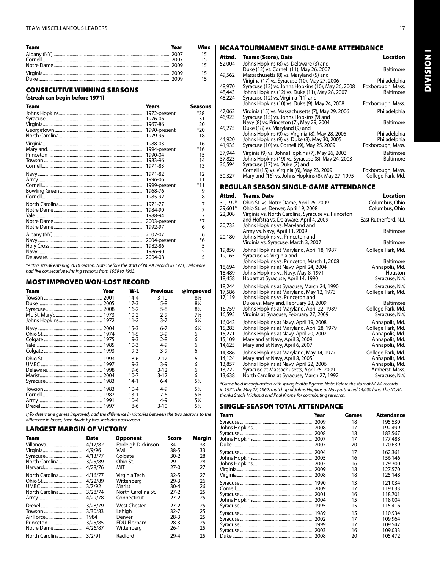| <b>Team</b> | Year | Wins |
|-------------|------|------|
|             |      |      |
|             |      |      |
|             |      |      |
|             |      |      |
|             |      |      |

#### CONSECUTIVE WINNING SEASONS

#### (streak can begin before 1971)

| <b>Team</b> | Years   | Seasons                       |
|-------------|---------|-------------------------------|
|             |         | *38<br>31                     |
|             |         | 20<br>*20<br>18               |
|             | 1971-83 | 16<br>$*16$<br>15<br>14<br>13 |
|             |         | 12<br>11<br>$*11$<br>9<br>8   |
|             |         | 7<br>7<br>$*7$<br>6           |
|             |         | 6<br>*6<br>5<br>5<br>5        |

*\*Active streak entering 2010 season. Note: Before the start of NCAA records in 1971, Delaware had five consecutive winning seasons from 1959 to 1963.* 

#### MOST IMPROVED WON-LOST RECORD

| Team | Year | W-L      | <b>Previous</b> | @Improved      |
|------|------|----------|-----------------|----------------|
|      |      | $14 - 4$ | $3 - 10$        | $8\frac{1}{2}$ |
|      |      | 17-3     | 5-8             | $8\frac{1}{2}$ |
|      |      | $16-2$   | 5-8             | $8\frac{1}{2}$ |
|      |      | $10-2$   | 2-9             | 7½             |
|      |      | $11 - 2$ | $3 - 7$         | $6\frac{1}{2}$ |
|      |      | $15 - 3$ | $6 - 7$         | $6\frac{1}{2}$ |
|      |      | 11-5     | $3-9$           | 6              |
|      |      | $9-3$    | $2 - 8$         | 6              |
|      |      | 10-3     | 4-9             | 6              |
|      |      | $9 - 3$  | 3-9             | 6              |
|      |      | $8-6$    | $2 - 12$        | 6              |
|      |      | $9 - 3$  | $3-9$           | 6              |
|      |      | 9-6      | $3 - 12$        | 6              |
|      |      | $10-7$   | $3 - 12$        | 6              |
|      |      | 14-1     | $6 - 4$         | $5\frac{1}{2}$ |
|      |      | $10 - 4$ | $4-9$           | $5\frac{1}{2}$ |
|      |      | $13-1$   | 7-6             | 5½             |
|      |      | 10-4     | 4-9             | $5\frac{1}{2}$ |
|      |      | 8-6      | $3-10$          | 5½             |

*@To determine games improved, add the difference in victories between the two seasons to the difference in losses, then divide by two. Includes postseason.* 

#### LARGEST MARGIN OF VICTORY

| <b>Team</b> | Date | <b>Opponent</b>     | Score    | Margin |
|-------------|------|---------------------|----------|--------|
|             |      | Fairleigh Dickinson | 34-1     | 33     |
|             |      | VMI                 | $38 - 5$ | 33     |
|             |      | Colgate             | $30-2$   | 28     |
|             |      | Ohio St.            | $29-1$   | 28     |
|             |      | МIТ                 | $27-0$   | 27     |
|             |      | Virginia Tech       | $32 - 5$ | 27     |
|             |      | Wittenberg          | 29-3     | 26     |
|             |      | Marist              | $30 - 4$ | 26     |
|             |      | North Carolina St.  | 27-2     | 25     |
|             |      | Connecticut         | 27-2     | 25     |
|             |      | <b>West Chester</b> | $27-2$   | 25     |
|             |      | Lehigh              | $32 - 7$ | 25     |
|             |      | Denver              | $28-3$   | 25     |
|             |      | FDU-Florham         | $28-3$   | 25     |
|             |      | Wittenberg          | $26-1$   | 25     |
|             |      | Radford             | $29 - 4$ | 25     |

# NCAA Tournament SINGLE-GAME ATTENDANCE

| Attnd.                               | Teams (Score), Date                                                                                                                                                                                                                    | Location                                              |
|--------------------------------------|----------------------------------------------------------------------------------------------------------------------------------------------------------------------------------------------------------------------------------------|-------------------------------------------------------|
| 52,004                               | Johns Hopkins (8) vs. Delaware (3) and<br>Duke (12) vs. Cornell (11), May 26, 2007                                                                                                                                                     | Baltimore                                             |
| 49,562<br>48,970<br>48,443<br>48,224 | Massachusetts (8) vs. Maryland (5) and<br>Virigina (17) vs. Syracuse (10), May 27, 2006<br>Syracuse (13) vs. Johns Hopkins (10), May 26, 2008<br>Johns Hopkins (12) vs. Duke (11), May 28, 2007<br>Syracuse (12) vs. Virginia (11) and | Philadelphia<br>Foxborough, Mass.<br><b>Baltimore</b> |
|                                      | Johns Hopkins (10) vs. Duke (9), May 24, 2008                                                                                                                                                                                          | Foxborough, Mass.                                     |
| 47,062<br>46,923                     | Virginia (15) vs. Massachusetts (7), May 29, 2006<br>Syracuse (15) vs. Johns Hopkins (9) and                                                                                                                                           | Philadelphia                                          |
| 45,275                               | Navy (8) vs. Princeton (7), May 29, 2004<br>Duke (18) vs. Maryland (9) and                                                                                                                                                             | Baltimore                                             |
| 44,920<br>41,935                     | Johns Hopkins (9) vs. Virginia (8), May 28, 2005<br>Johns Hopkins (9) vs. Duke (8), May 30, 2005<br>Syracuse (10) vs. Cornell (9), May 25, 2009                                                                                        | Philadelphia<br>Philadelphia<br>Foxborough, Mass.     |
| 37,944<br>37,823<br>36,594           | Virginia (9) vs. Johns Hopkins (7), May 26, 2003<br>Johns Hopkins (19) vs. Syracuse (8), May 24, 2003<br>Syracuse (17) vs. Duke (7) and                                                                                                | <b>Baltimore</b><br><b>Baltimore</b>                  |
| 30,327                               | Cornell (15) vs. Virginia (6), May 23, 2009<br>Maryland (16) vs. Johns Hopkins (8), May 27, 1995                                                                                                                                       | Foxborough, Mass.<br>College Park, Md.                |
|                                      | REGULAR SEASON SINGLE-GAME ATTENDANCE                                                                                                                                                                                                  |                                                       |
| Attnd.                               | Teams, Date                                                                                                                                                                                                                            | Location                                              |

| Attnd.<br>30,192*                              | Teams, Date<br>Ohio St. vs. Notre Dame, April 25, 2009                                                                                                                                                         | Location<br>Columbus, Ohio                                                                |
|------------------------------------------------|----------------------------------------------------------------------------------------------------------------------------------------------------------------------------------------------------------------|-------------------------------------------------------------------------------------------|
| 29,601*<br>22,308                              | Ohio St. vs. Denver, April 19, 2008                                                                                                                                                                            | Columbus, Ohio                                                                            |
| 20,732                                         | Virginia vs. North Carolina, Syracuse vs. Princeton<br>and Hofstra vs. Delaware, April 4, 2009<br>Johns Hopkins vs. Maryland and                                                                               | East Rutherford, N.J.                                                                     |
|                                                | Army vs. Navy, April 11, 2009                                                                                                                                                                                  | Baltimore                                                                                 |
| 20,180                                         | Johns Hopkins vs. Princeton and<br>Virginia vs. Syracuse, March 3, 2007                                                                                                                                        | Baltimore                                                                                 |
| 19,850                                         | Johns Hopkins at Maryland, April 18, 1987                                                                                                                                                                      | College Park, Md.                                                                         |
| 19,165<br>18,694<br>18,489<br>18,458           | Syracuse vs. Virginia and<br>Johns Hopkins vs. Princeton, March 1, 2008<br>Johns Hopkins at Navy, April 24, 2004<br>Johns Hopkins vs. Navy, May 8, 1971<br>Hobart at Syracuse, April 14, 1990                  | Baltimore<br>Annapolis, Md.<br>Houston<br>Syracuse, N.Y.                                  |
| 18,244<br>17,586<br>17,119                     | Johns Hopkins at Syracuse, March 24, 1990<br>Johns Hopkins at Maryland, May 12, 1973<br>Johns Hopkins vs. Princeton and<br>Duke vs. Maryland, February 28, 2009                                                | Syracuse, N.Y.<br>College Park, Md.<br>Baltimore                                          |
| 16,759<br>16,595                               | Johns Hopkins at Maryland, April 22, 1989<br>Virginia at Syracuse, February 27, 2009                                                                                                                           | College Park, Md.<br>Syracuse, N.Y.                                                       |
| 16,042<br>15,283<br>15,271<br>15,109<br>14,625 | Johns Hopkins at Navy, April 19, 2008<br>Johns Hopkins at Maryland, April 28, 1979<br>Johns Hopkins at Navy, April 20, 2002<br>Maryland at Navy, April 3, 2009<br>Maryland at Navy, April 6, 2007              | Annapolis, Md.<br>College Park, Md.<br>Annapolis, Md.<br>Annapolis, Md.<br>Annapolis, Md. |
| 14,386<br>14,124<br>13,857<br>13,722<br>13,638 | Johns Hopkins at Maryland, May 14, 1977<br>Maryland at Navy, April 8, 2005<br>Johns Hopkins at Navy, April 22, 2006<br>Syracuse at Massachusetts, April 25, 2009<br>North Carolina at Syracuse, March 27, 1992 | College Park, Md.<br>Annapolis, Md.<br>Annapolis, Md.<br>Amherst, Mass.<br>Syracuse, N.Y. |
|                                                | *Game held in conjunction with spring football game. Note: Before the start of NCAA records                                                                                                                    |                                                                                           |

*\*Game held in conjunction with spring football game. Note: Before the start of NCAA records in 1971, the May 12, 1962, matchup of Johns Hopkins at Navy attracted 14,000 fans. The NCAA thanks Stacie Michaud and Paul Krome for contributing research.*

### SINGLE-SEASON TOTAL ATTENDANCE

| Team | Year | Games | <b>Attendance</b> |
|------|------|-------|-------------------|
|      |      | 18    | 195,530           |
|      |      | 17    | 192,499           |
|      |      | 18    | 183,567           |
|      |      | 17    | 177.488           |
|      | 2007 | 20    | 170,639           |
|      |      | 17    | 162,361           |
|      |      | 16    | 156,146           |
|      |      | 16    | 129,300           |
|      |      | 18    | 127,570           |
|      |      | 18    | 125,148           |
|      | 1990 | 13    | 121.034           |
|      | 2009 | 17    | 119,633           |
|      |      | 16    | 118,701           |
|      |      | 15    | 118,004           |
|      |      | 15    | 115,416           |
|      | 1989 | 15    | 110,934           |
|      |      | 17    | 109,964           |
|      |      | 17    | 109,547           |
|      |      | 16    | 109,033           |
|      |      | 20    | 105,472           |